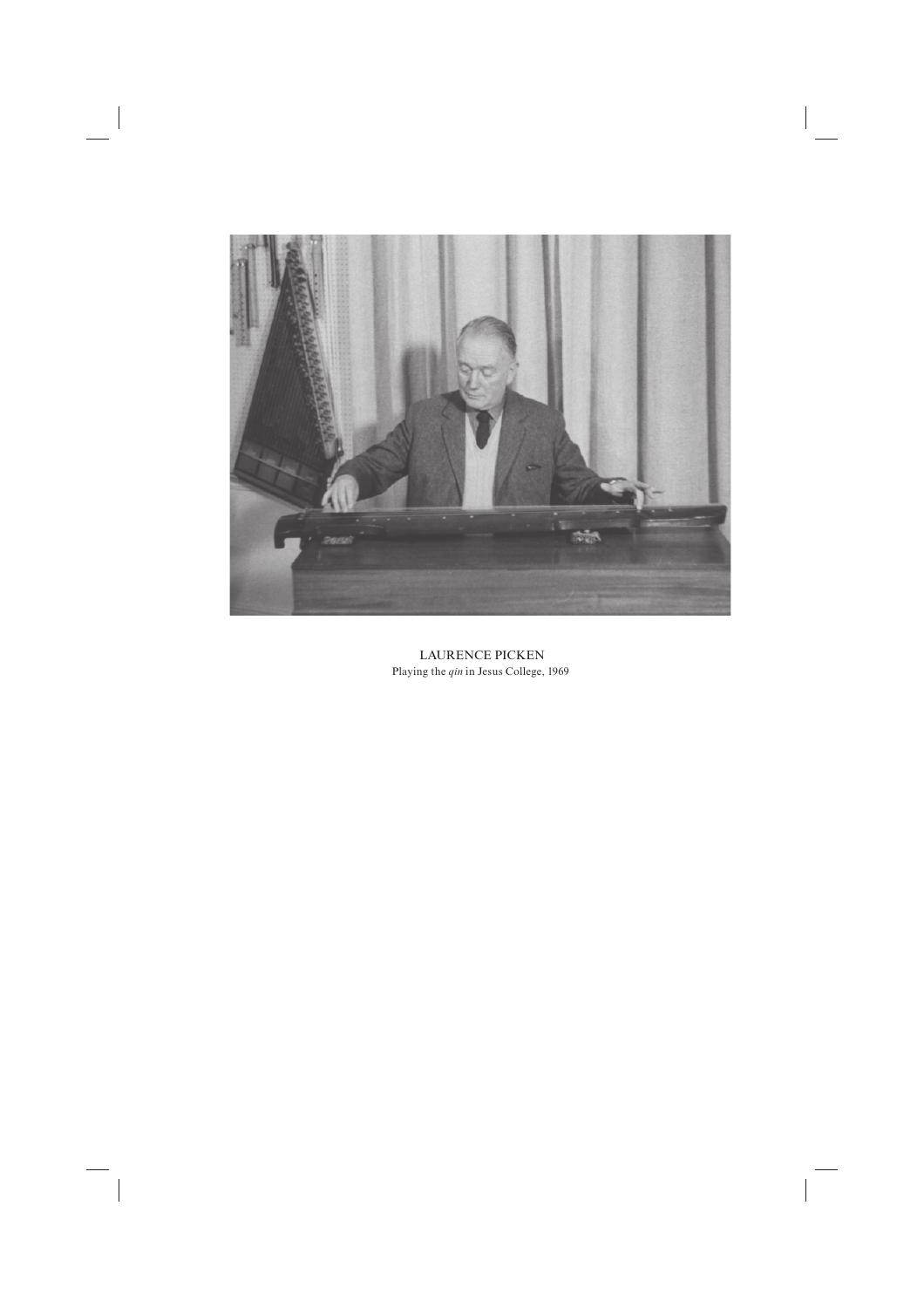

 LAURENCE PICKEN Playing the *qin* in Jesus College, 1969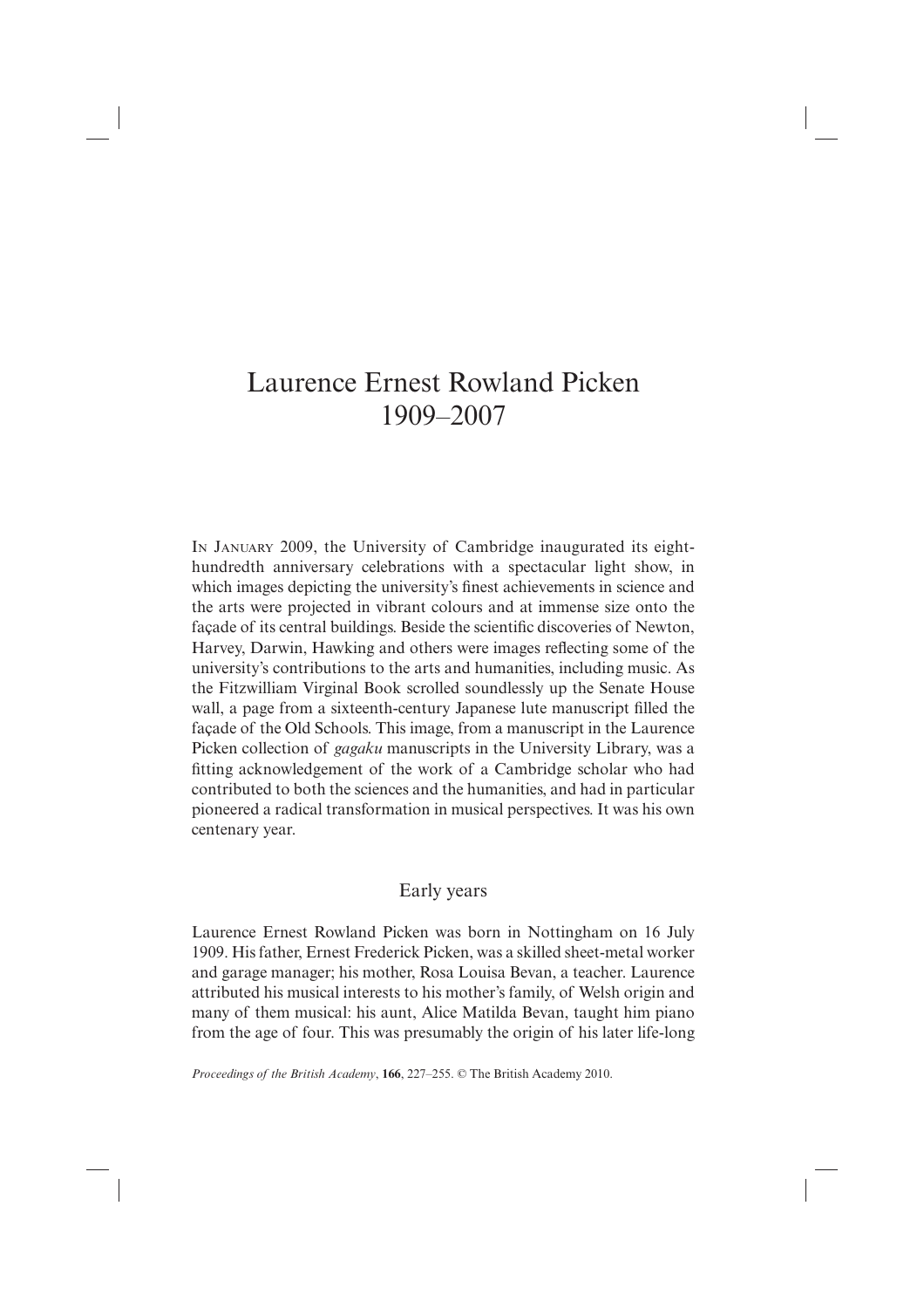# Laurence Ernest Rowland Picken 1909–2007

IN JANUARY 2009, the University of Cambridge inaugurated its eighthundredth anniversary celebrations with a spectacular light show, in which images depicting the university's finest achievements in science and the arts were projected in vibrant colours and at immense size onto the façade of its central buildings. Beside the scientific discoveries of Newton, Harvey, Darwin, Hawking and others were images reflecting some of the university's contributions to the arts and humanities, including music. As the Fitzwilliam Virginal Book scrolled soundlessly up the Senate House wall, a page from a sixteenth-century Japanese lute manuscript filled the façade of the Old Schools. This image, from a manuscript in the Laurence Picken collection of *gagaku* manuscripts in the University Library, was a fitting acknowledgement of the work of a Cambridge scholar who had contributed to both the sciences and the humanities, and had in particular pioneered a radical transformation in musical perspectives. It was his own centenary year.

## Early years

Laurence Ernest Rowland Picken was born in Nottingham on 16 July 1909. His father, Ernest Frederick Picken, was a skilled sheet-metal worker and garage manager; his mother, Rosa Louisa Bevan, a teacher. Laurence attributed his musical interests to his mother's family, of Welsh origin and many of them musical: his aunt, Alice Matilda Bevan, taught him piano from the age of four. This was presumably the origin of his later life-long

 *Proceedings of the British Academy*, **166**, 227–255. © The British Academy 2010.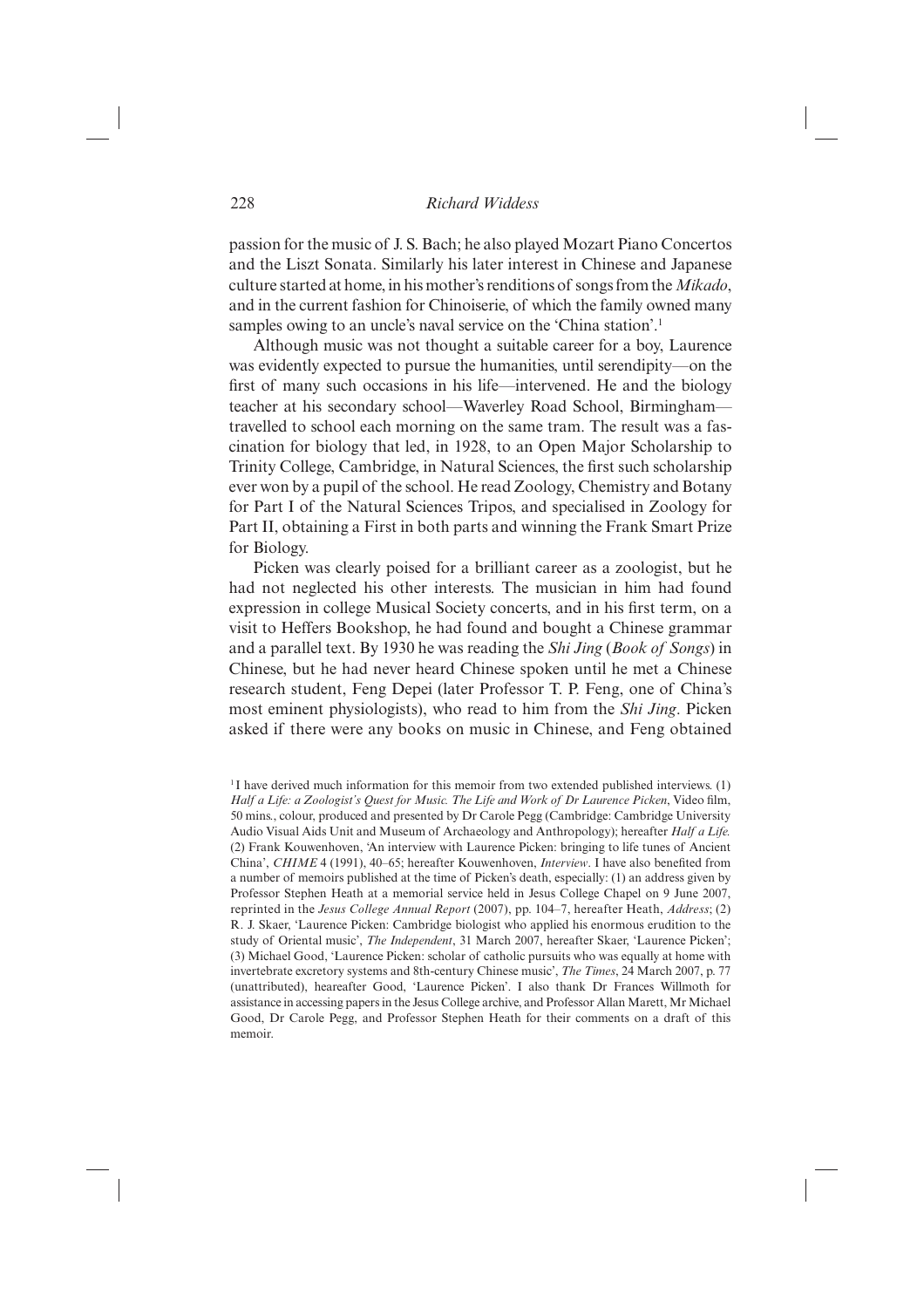passion for the music of J. S. Bach; he also played Mozart Piano Concertos and the Liszt Sonata. Similarly his later interest in Chinese and Japanese culture started at home, in his mother's renditions of songs from the *Mikado*, and in the current fashion for Chinoiserie, of which the family owned many samples owing to an uncle's naval service on the 'China station'.<sup>1</sup>

Although music was not thought a suitable career for a boy, Laurence was evidently expected to pursue the humanities, until serendipity—on the first of many such occasions in his life—intervened. He and the biology teacher at his secondary school—Waverley Road School, Birmingham travelled to school each morning on the same tram. The result was a fascination for biology that led, in 1928, to an Open Major Scholarship to Trinity College, Cambridge, in Natural Sciences, the first such scholarship ever won by a pupil of the school. He read Zoology, Chemistry and Botany for Part I of the Natural Sciences Tripos, and specialised in Zoology for Part II, obtaining a First in both parts and winning the Frank Smart Prize for Biology.

Picken was clearly poised for a brilliant career as a zoologist, but he had not neglected his other interests. The musician in him had found expression in college Musical Society concerts, and in his first term, on a visit to Heffers Bookshop, he had found and bought a Chinese grammar and a parallel text. By 1930 he was reading the *Shi Jing* (*Book of Songs*) in Chinese, but he had never heard Chinese spoken until he met a Chinese research student, Feng Depei (later Professor T. P. Feng, one of China's most eminent physiologists), who read to him from the *Shi Jing*. Picken asked if there were any books on music in Chinese, and Feng obtained

<sup>1</sup> I have derived much information for this memoir from two extended published interviews. (1) Half a Life: a Zoologist's Quest for Music. The Life and Work of Dr Laurence Picken, Video film, 50 mins., colour, produced and presented by Dr Carole Pegg (Cambridge: Cambridge University Audio Visual Aids Unit and Museum of Archaeology and Anthropology); hereafter *Half a Life.* (2) Frank Kouwenhoven, 'An interview with Laurence Picken: bringing to life tunes of Ancient China', *CHIME* 4 (1991), 40–65; hereafter Kouwenhoven, *Interview*. I have also benefited from a number of memoirs published at the time of Picken's death, especially: (1) an address given by Professor Stephen Heath at a memorial service held in Jesus College Chapel on 9 June 2007, reprinted in the *Jesus College Annual Report* (2007), pp. 104–7, hereafter Heath, *Address*; (2) R. J. Skaer, 'Laurence Picken: Cambridge biologist who applied his enormous erudition to the study of Oriental music', *The Independent*, 31 March 2007, hereafter Skaer, 'Laurence Picken'; (3) Michael Good, 'Laurence Picken: scholar of catholic pursuits who was equally at home with invertebrate excretory systems and 8th-century Chinese music', *The Times*, 24 March 2007, p. 77 (unattributed), heareafter Good, 'Laurence Picken'. I also thank Dr Frances Willmoth for assistance in accessing papers in the Jesus College archive, and Professor Allan Marett, Mr Michael Good, Dr Carole Pegg, and Professor Stephen Heath for their comments on a draft of this memoir.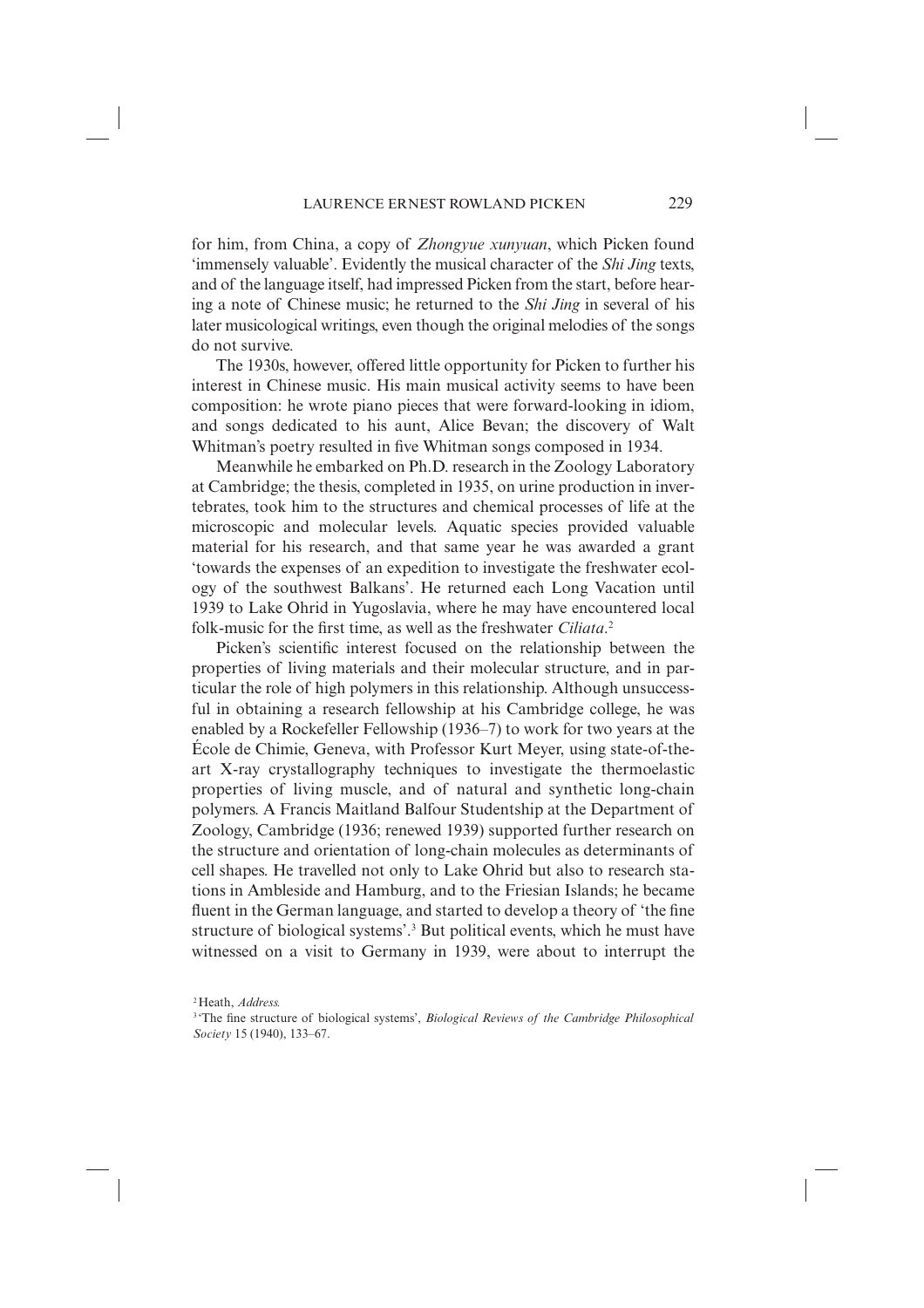for him, from China, a copy of *Zhongyue xunyuan*, which Picken found 'immensely valuable'. Evidently the musical character of the *Shi Jing* texts, and of the language itself, had impressed Picken from the start, before hearing a note of Chinese music; he returned to the *Shi Jing* in several of his later musicological writings, even though the original melodies of the songs do not survive.

The 1930s, however, offered little opportunity for Picken to further his interest in Chinese music. His main musical activity seems to have been composition: he wrote piano pieces that were forward-looking in idiom, and songs dedicated to his aunt, Alice Bevan; the discovery of Walt Whitman's poetry resulted in five Whitman songs composed in 1934.

Meanwhile he embarked on Ph.D. research in the Zoology Laboratory at Cambridge; the thesis, completed in 1935, on urine production in invertebrates, took him to the structures and chemical processes of life at the microscopic and molecular levels. Aquatic species provided valuable material for his research, and that same year he was awarded a grant 'towards the expenses of an expedition to investigate the freshwater ecology of the southwest Balkans'. He returned each Long Vacation until 1939 to Lake Ohrid in Yugoslavia, where he may have encountered local folk-music for the first time, as well as the freshwater *Ciliata*.<sup>2</sup>

Picken's scientific interest focused on the relationship between the properties of living materials and their molecular structure, and in particular the role of high polymers in this relationship. Although unsuccessful in obtaining a research fellowship at his Cambridge college, he was enabled by a Rockefeller Fellowship (1936–7) to work for two years at the École de Chimie, Geneva, with Professor Kurt Meyer, using state-of-theart X-ray crystallography techniques to investigate the thermoelastic properties of living muscle, and of natural and synthetic long-chain polymers. A Francis Maitland Balfour Studentship at the Department of Zoology, Cambridge (1936; renewed 1939) supported further research on the structure and orientation of long-chain molecules as determinants of cell shapes. He travelled not only to Lake Ohrid but also to research stations in Ambleside and Hamburg, and to the Friesian Islands; he became fluent in the German language, and started to develop a theory of 'the fine structure of biological systems'.3 But political events, which he must have witnessed on a visit to Germany in 1939, were about to interrupt the

<sup>2</sup> Heath, *Address.*

<sup>&</sup>lt;sup>3</sup> The fine structure of biological systems', *Biological Reviews of the Cambridge Philosophical Society* 15 (1940), 133–67.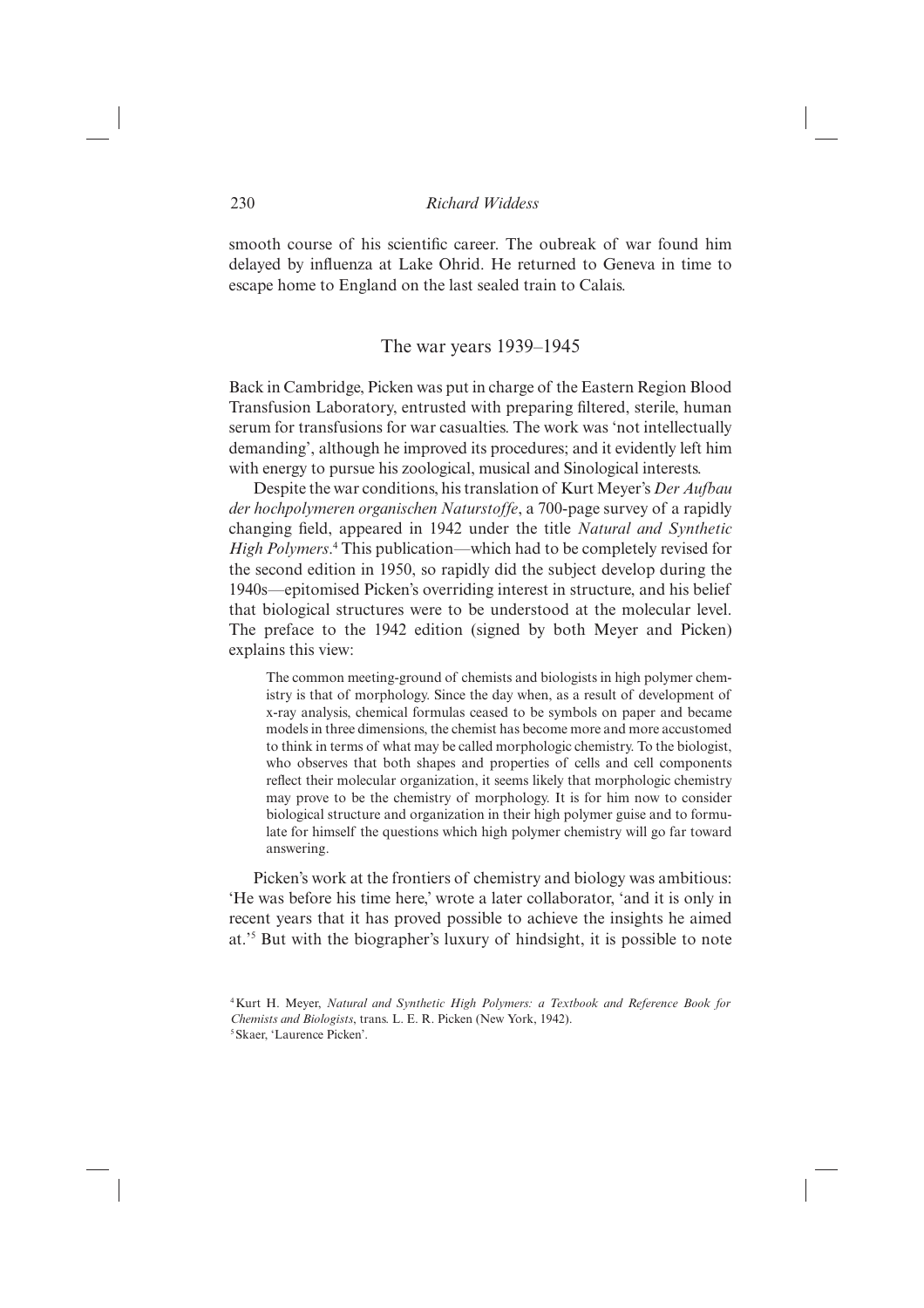smooth course of his scientific career. The oubreak of war found him delayed by influenza at Lake Ohrid. He returned to Geneva in time to escape home to England on the last sealed train to Calais.

#### The war years 1939–1945

Back in Cambridge, Picken was put in charge of the Eastern Region Blood Transfusion Laboratory, entrusted with preparing filtered, sterile, human serum for transfusions for war casualties. The work was 'not intellectually demanding', although he improved its procedures; and it evidently left him with energy to pursue his zoological, musical and Sinological interests.

Despite the war conditions, his translation of Kurt Meyer's *Der Aufbau der hochpolymeren organischen Naturstoffe*, a 700-page survey of a rapidly changing field, appeared in 1942 under the title *Natural and Synthetic High Polymers*.<sup>4</sup> This publication—which had to be completely revised for the second edition in 1950, so rapidly did the subject develop during the 1940s—epitomised Picken's overriding interest in structure, and his belief that biological structures were to be understood at the molecular level. The preface to the 1942 edition (signed by both Meyer and Picken) explains this view:

The common meeting-ground of chemists and biologists in high polymer chemistry is that of morphology. Since the day when, as a result of development of x-ray analysis, chemical formulas ceased to be symbols on paper and became models in three dimensions, the chemist has become more and more accustomed to think in terms of what may be called morphologic chemistry. To the biologist, who observes that both shapes and properties of cells and cell components reflect their molecular organization, it seems likely that morphologic chemistry may prove to be the chemistry of morphology. It is for him now to consider biological structure and organization in their high polymer guise and to formulate for himself the questions which high polymer chemistry will go far toward answering.

Picken's work at the frontiers of chemistry and biology was ambitious: 'He was before his time here,' wrote a later collaborator, 'and it is only in recent years that it has proved possible to achieve the insights he aimed at.'5 But with the biographer's luxury of hindsight, it is possible to note

<sup>4</sup> Kurt H. Meyer, *Natural and Synthetic High Polymers: a Textbook and Reference Book for Chemists and Biologists*, trans. L. E. R. Picken (New York, 1942).

<sup>5</sup> Skaer, 'Laurence Picken'.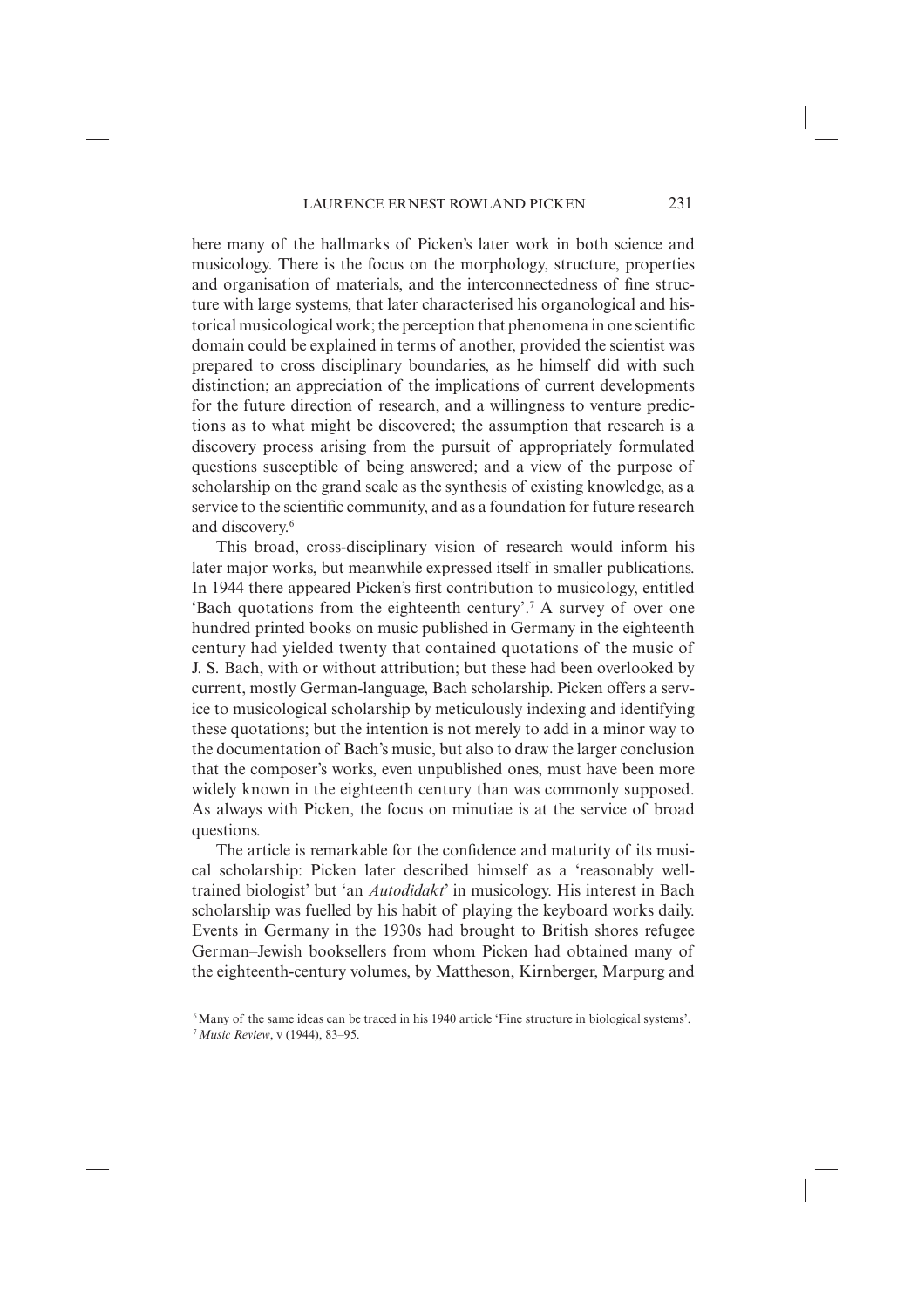here many of the hallmarks of Picken's later work in both science and musicology. There is the focus on the morphology, structure, properties and organisation of materials, and the interconnectedness of fine structure with large systems, that later characterised his organological and historical musicological work; the perception that phenomena in one scientific domain could be explained in terms of another, provided the scientist was prepared to cross disciplinary boundaries, as he himself did with such distinction; an appreciation of the implications of current developments for the future direction of research, and a willingness to venture predictions as to what might be discovered; the assumption that research is a discovery process arising from the pursuit of appropriately formulated questions susceptible of being answered; and a view of the purpose of scholarship on the grand scale as the synthesis of existing knowledge, as a service to the scientific community, and as a foundation for future research and discovery.6

This broad, cross-disciplinary vision of research would inform his later major works, but meanwhile expressed itself in smaller publications. In 1944 there appeared Picken's first contribution to musicology, entitled 'Bach quotations from the eighteenth century'.7 A survey of over one hundred printed books on music published in Germany in the eighteenth century had yielded twenty that contained quotations of the music of J. S. Bach, with or without attribution; but these had been overlooked by current, mostly German-language, Bach scholarship. Picken offers a service to musicological scholarship by meticulously indexing and identifying these quotations; but the intention is not merely to add in a minor way to the documentation of Bach's music, but also to draw the larger conclusion that the composer's works, even unpublished ones, must have been more widely known in the eighteenth century than was commonly supposed. As always with Picken, the focus on minutiae is at the service of broad questions.

The article is remarkable for the confidence and maturity of its musical scholarship: Picken later described himself as a 'reasonably welltrained biologist' but 'an *Autodidakt*' in musicology. His interest in Bach scholarship was fuelled by his habit of playing the keyboard works daily. Events in Germany in the 1930s had brought to British shores refugee German–Jewish booksellers from whom Picken had obtained many of the eighteenth-century volumes, by Mattheson, Kirnberger, Marpurg and

<sup>6</sup> Many of the same ideas can be traced in his 1940 article 'Fine structure in biological systems'.

<sup>7</sup>*Music Review*, v (1944), 83–95.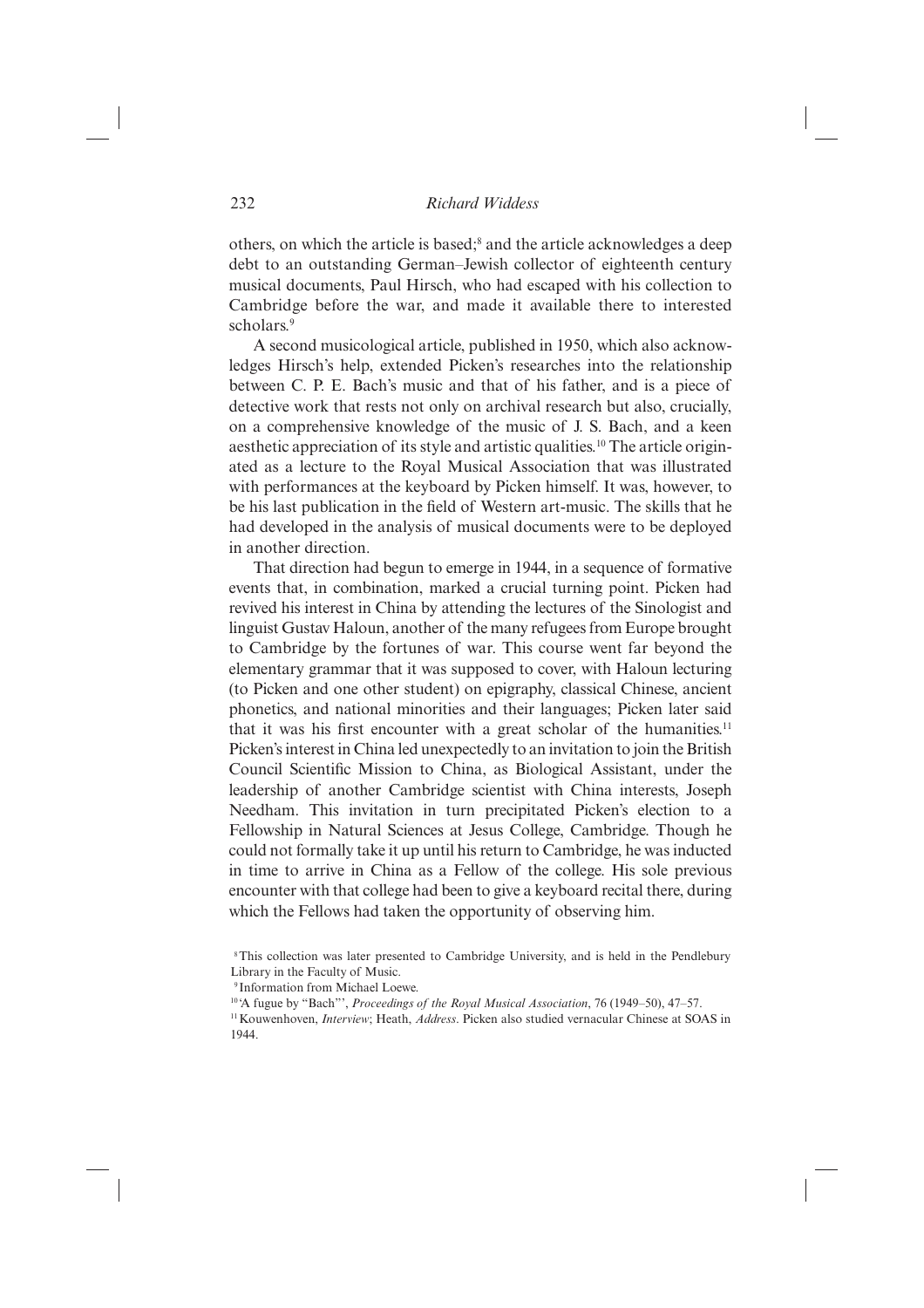others, on which the article is based;<sup>8</sup> and the article acknowledges a deep debt to an outstanding German–Jewish collector of eighteenth century musical documents, Paul Hirsch, who had escaped with his collection to Cambridge before the war, and made it available there to interested scholars.9

A second musicological article, published in 1950, which also acknowledges Hirsch's help, extended Picken's researches into the relationship between C. P. E. Bach's music and that of his father, and is a piece of detective work that rests not only on archival research but also, crucially, on a comprehensive knowledge of the music of J. S. Bach, and a keen aesthetic appreciation of its style and artistic qualities.10 The article originated as a lecture to the Royal Musical Association that was illustrated with performances at the keyboard by Picken himself. It was, however, to be his last publication in the field of Western art-music. The skills that he had developed in the analysis of musical documents were to be deployed in another direction.

That direction had begun to emerge in 1944, in a sequence of formative events that, in combination, marked a crucial turning point. Picken had revived his interest in China by attending the lectures of the Sinologist and linguist Gustav Haloun, another of the many refugees from Europe brought to Cambridge by the fortunes of war. This course went far beyond the elementary grammar that it was supposed to cover, with Haloun lecturing (to Picken and one other student) on epigraphy, classical Chinese, ancient phonetics, and national minorities and their languages; Picken later said that it was his first encounter with a great scholar of the humanities.<sup>11</sup> Picken's interest in China led unexpectedly to an invitation to join the British Council Scientific Mission to China, as Biological Assistant, under the leadership of another Cambridge scientist with China interests, Joseph Needham. This invitation in turn precipitated Picken's election to a Fellowship in Natural Sciences at Jesus College, Cambridge. Though he could not formally take it up until his return to Cambridge, he was inducted in time to arrive in China as a Fellow of the college. His sole previous encounter with that college had been to give a keyboard recital there, during which the Fellows had taken the opportunity of observing him.

 <sup>8</sup> This collection was later presented to Cambridge University, and is held in the Pendlebury Library in the Faculty of Music.

 <sup>9</sup> Information from Michael Loewe.

<sup>10 &#</sup>x27;A fugue by "Bach"', *Proceedings of the Royal Musical Association*, 76 (1949–50), 47–57.

<sup>11</sup> Kouwenhoven, *Interview*; Heath, *Address*. Picken also studied vernacular Chinese at SOAS in 1944.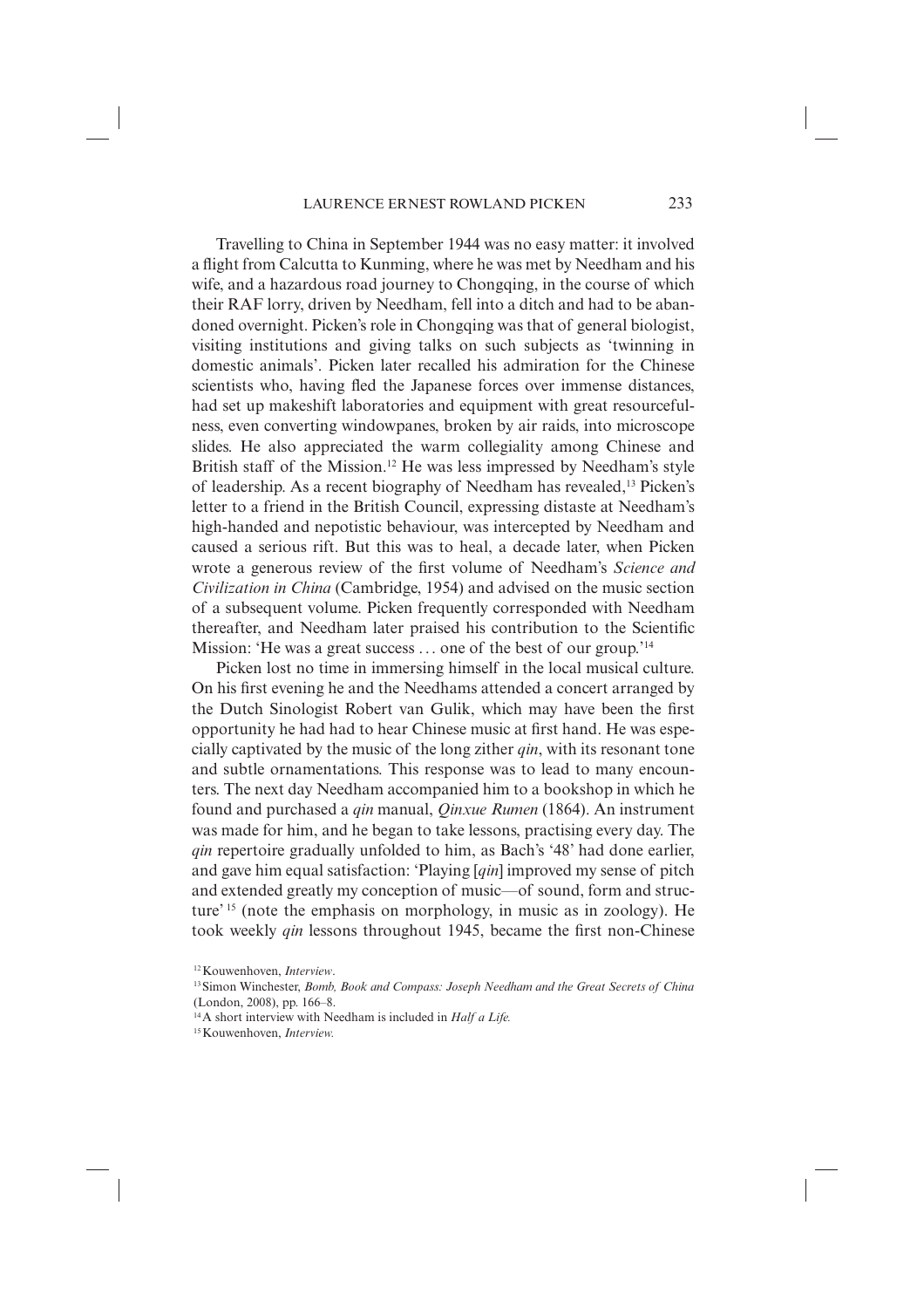Travelling to China in September 1944 was no easy matter: it involved a flight from Calcutta to Kunming, where he was met by Needham and his wife, and a hazardous road journey to Chongqing, in the course of which their RAF lorry, driven by Needham, fell into a ditch and had to be abandoned overnight. Picken's role in Chongqing was that of general biologist, visiting institutions and giving talks on such subjects as 'twinning in domestic animals'. Picken later recalled his admiration for the Chinese scientists who, having fled the Japanese forces over immense distances, had set up makeshift laboratories and equipment with great resourcefulness, even converting windowpanes, broken by air raids, into microscope slides. He also appreciated the warm collegiality among Chinese and British staff of the Mission.<sup>12</sup> He was less impressed by Needham's style of leadership. As a recent biography of Needham has revealed,13 Picken's letter to a friend in the British Council, expressing distaste at Needham's high-handed and nepotistic behaviour, was intercepted by Needham and caused a serious rift. But this was to heal, a decade later, when Picken wrote a generous review of the first volume of Needham's *Science and Civilization in China* (Cambridge, 1954) and advised on the music section of a subsequent volume. Picken frequently corresponded with Needham thereafter, and Needham later praised his contribution to the Scientific Mission: 'He was a great success ... one of the best of our group.'<sup>14</sup>

Picken lost no time in immersing himself in the local musical culture. On his first evening he and the Needhams attended a concert arranged by the Dutch Sinologist Robert van Gulik, which may have been the first opportunity he had had to hear Chinese music at first hand. He was especially captivated by the music of the long zither *qin*, with its resonant tone and subtle ornamentations. This response was to lead to many encounters. The next day Needham accompanied him to a bookshop in which he found and purchased a *qin* manual, *Qinxue Rumen* (1864). An instrument was made for him, and he began to take lessons, practising every day. The *qin* repertoire gradually unfolded to him, as Bach's '48' had done earlier, and gave him equal satisfaction: 'Playing [*qin*] improved my sense of pitch and extended greatly my conception of music—of sound, form and structure' 15 (note the emphasis on morphology, in music as in zoology). He took weekly *qin* lessons throughout 1945, became the first non-Chinese

<sup>12</sup> Kouwenhoven, *Interview*.

<sup>13</sup> Simon Winchester, *Bomb, Book and Compass: Joseph Needham and the Great Secrets of China* (London, 2008), pp. 166–8.

<sup>14</sup> A short interview with Needham is included in *Half a Life.*

<sup>15</sup> Kouwenhoven, *Interview.*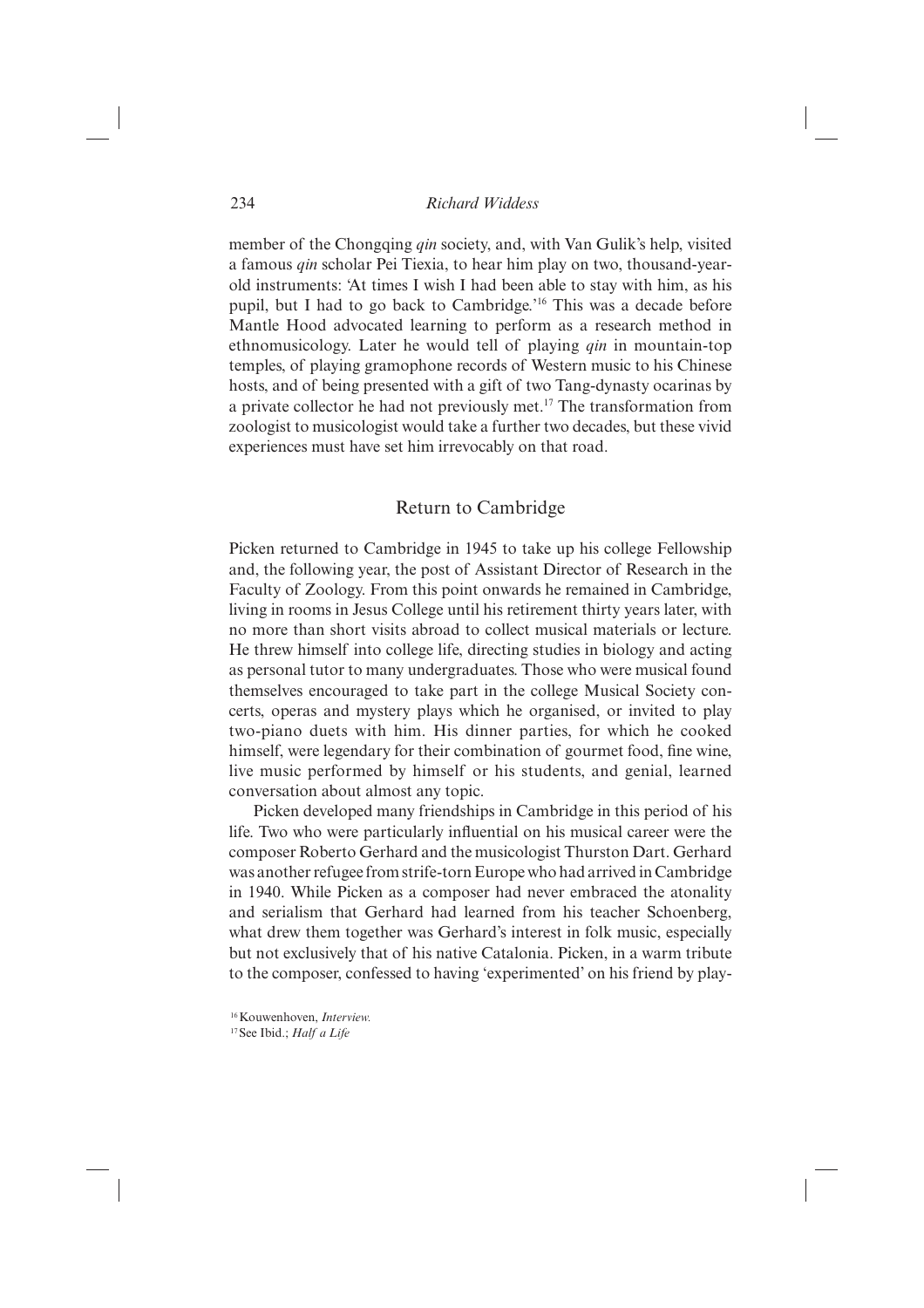member of the Chongqing *qin* society, and, with Van Gulik's help, visited a famous *qin* scholar Pei Tiexia, to hear him play on two, thousand-yearold instruments: 'At times I wish I had been able to stay with him, as his pupil, but I had to go back to Cambridge.'16 This was a decade before Mantle Hood advocated learning to perform as a research method in ethno musicology. Later he would tell of playing *qin* in mountain-top temples, of playing gramophone records of Western music to his Chinese hosts, and of being presented with a gift of two Tang-dynasty ocarinas by a private collector he had not previously met.17 The transformation from zoologist to musicologist would take a further two decades, but these vivid experiences must have set him irrevocably on that road.

# Return to Cambridge

Picken returned to Cambridge in 1945 to take up his college Fellowship and, the following year, the post of Assistant Director of Research in the Faculty of Zoology. From this point onwards he remained in Cambridge, living in rooms in Jesus College until his retirement thirty years later, with no more than short visits abroad to collect musical materials or lecture. He threw himself into college life, directing studies in biology and acting as personal tutor to many undergraduates. Those who were musical found themselves encouraged to take part in the college Musical Society concerts, operas and mystery plays which he organised, or invited to play two-piano duets with him. His dinner parties, for which he cooked himself, were legendary for their combination of gourmet food, fine wine, live music performed by himself or his students, and genial, learned conversation about almost any topic.

Picken developed many friendships in Cambridge in this period of his life. Two who were particularly influential on his musical career were the composer Roberto Gerhard and the musicologist Thurston Dart. Gerhard was another refugee from strife-torn Europe who had arrived in Cambridge in 1940. While Picken as a composer had never embraced the atonality and serialism that Gerhard had learned from his teacher Schoenberg, what drew them together was Gerhard's interest in folk music, especially but not exclusively that of his native Catalonia. Picken, in a warm tribute to the composer, confessed to having 'experimented' on his friend by play-

<sup>16</sup> Kouwenhoven, *Interview.*

<sup>17</sup> See Ibid.; *Half a Life*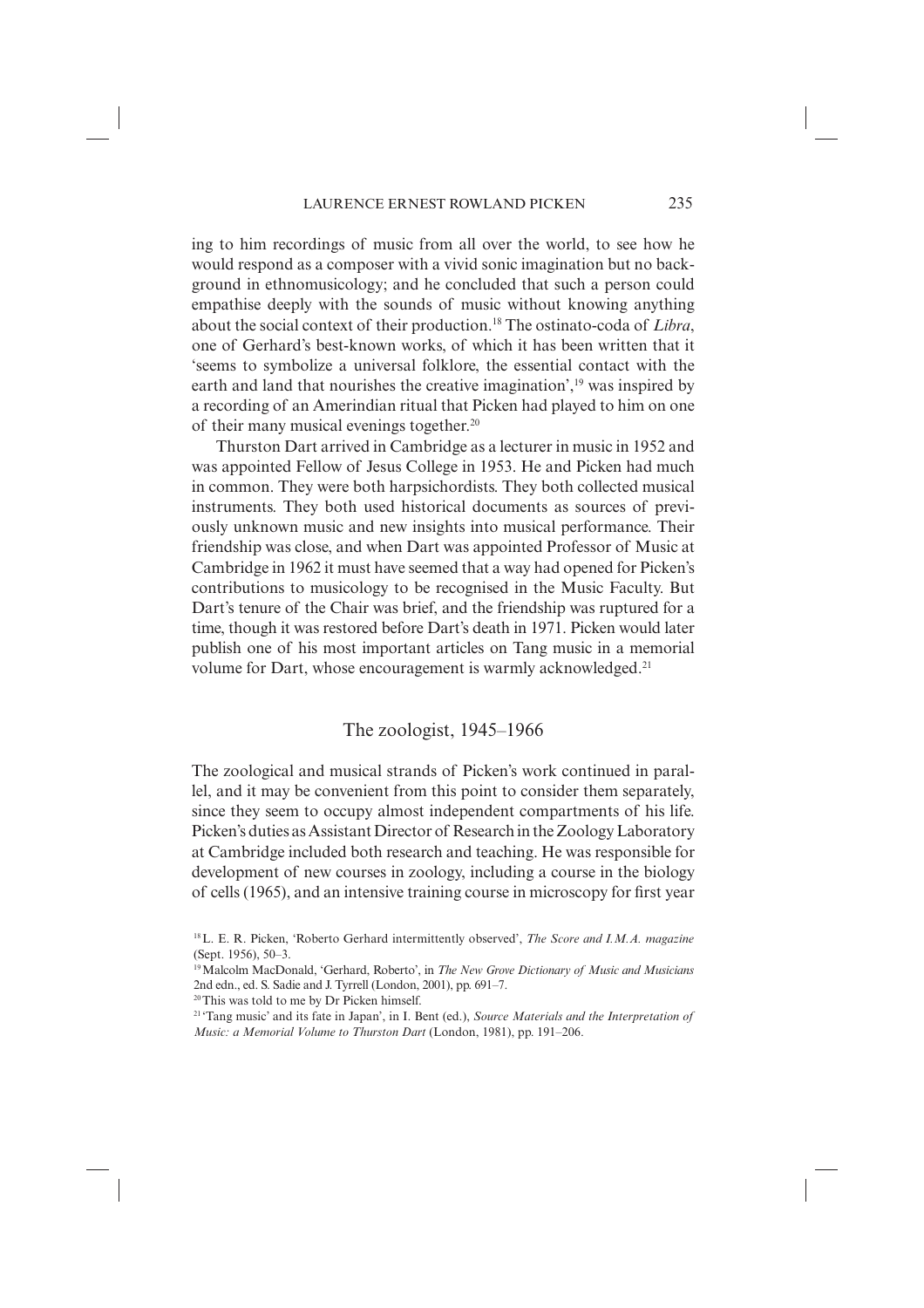ing to him recordings of music from all over the world, to see how he would respond as a composer with a vivid sonic imagination but no background in ethnomusicology; and he concluded that such a person could empathise deeply with the sounds of music without knowing anything about the social context of their production.18 The ostinato-coda of *Libra*, one of Gerhard's best-known works, of which it has been written that it 'seems to symbolize a universal folklore, the essential contact with the earth and land that nourishes the creative imagination',<sup>19</sup> was inspired by a recording of an Amerindian ritual that Picken had played to him on one of their many musical evenings together.20

Thurston Dart arrived in Cambridge as a lecturer in music in 1952 and was appointed Fellow of Jesus College in 1953. He and Picken had much in common. They were both harpsichordists. They both collected musical instruments. They both used historical documents as sources of previously unknown music and new insights into musical performance. Their friendship was close, and when Dart was appointed Professor of Music at Cambridge in 1962 it must have seemed that a way had opened for Picken's contributions to musicology to be recognised in the Music Faculty. But Dart's tenure of the Chair was brief, and the friendship was ruptured for a time, though it was restored before Dart's death in 1971. Picken would later publish one of his most important articles on Tang music in a memorial volume for Dart, whose encouragement is warmly acknowledged.<sup>21</sup>

# The zoologist, 1945–1966

The zoological and musical strands of Picken's work continued in parallel, and it may be convenient from this point to consider them separately, since they seem to occupy almost independent compartments of his life. Picken's duties as Assistant Director of Research in the Zoology Laboratory at Cambridge included both research and teaching. He was responsible for development of new courses in zoology, including a course in the biology of cells (1965), and an intensive training course in microscopy for first year

<sup>18</sup> L. E. R. Picken, 'Roberto Gerhard intermittently observed', *The Score and I.M.A. magazine* (Sept. 1956), 50–3.

<sup>19</sup> Malcolm MacDonald, 'Gerhard, Roberto', in *The New Grove Dictionary of Music and Musicians* 2nd edn., ed. S. Sadie and J. Tyrrell (London, 2001), pp. 691–7.

<sup>20</sup> This was told to me by Dr Picken himself.

<sup>21 &#</sup>x27;Tang music' and its fate in Japan', in I. Bent (ed.), *Source Materials and the Interpretation of Music: a Memorial Volume to Thurston Dart* (London, 1981), pp. 191–206.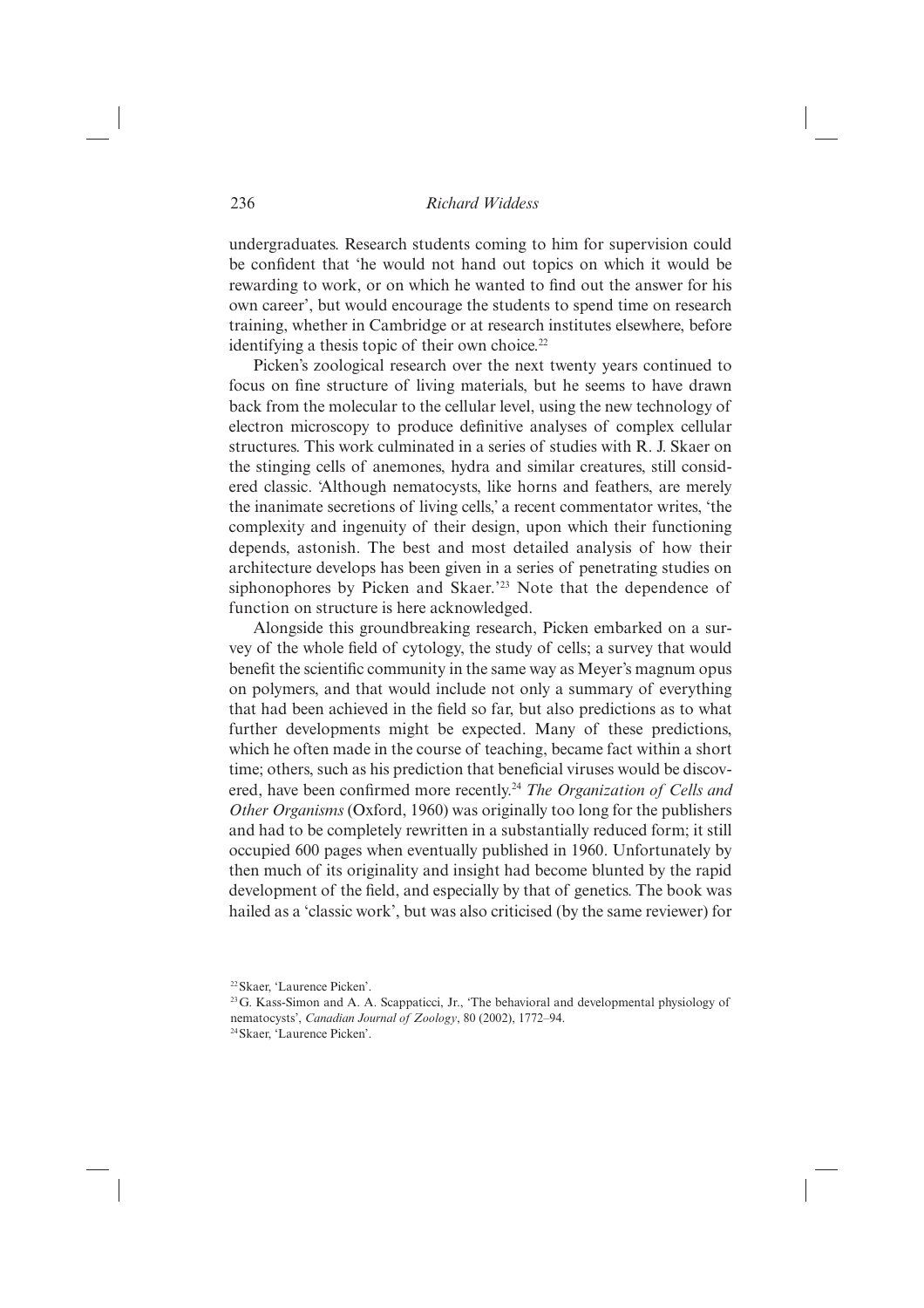undergraduates. Research students coming to him for supervision could be confident that 'he would not hand out topics on which it would be rewarding to work, or on which he wanted to find out the answer for his own career', but would encourage the students to spend time on research training, whether in Cambridge or at research institutes elsewhere, before identifying a thesis topic of their own choice.<sup>22</sup>

Picken's zoological research over the next twenty years continued to focus on fine structure of living materials, but he seems to have drawn back from the molecular to the cellular level, using the new technology of electron microscopy to produce definitive analyses of complex cellular structures. This work culminated in a series of studies with R. J. Skaer on the stinging cells of anemones, hydra and similar creatures, still considered classic. 'Although nematocysts, like horns and feathers, are merely the inanimate secretions of living cells,' a recent commentator writes, 'the complexity and ingenuity of their design, upon which their functioning depends, astonish. The best and most detailed analysis of how their architecture develops has been given in a series of penetrating studies on siphonophores by Picken and Skaer.'<sup>23</sup> Note that the dependence of function on structure is here acknowledged.

Alongside this groundbreaking research, Picken embarked on a survey of the whole field of cytology, the study of cells; a survey that would benefit the scientific community in the same way as Meyer's magnum opus on polymers, and that would include not only a summary of everything that had been achieved in the field so far, but also predictions as to what further developments might be expected. Many of these predictions, which he often made in the course of teaching, became fact within a short time; others, such as his prediction that beneficial viruses would be discovered, have been confirmed more recently.<sup>24</sup> *The Organization of Cells and Other Organisms* (Oxford, 1960) was originally too long for the publishers and had to be completely rewritten in a substantially reduced form; it still occupied 600 pages when eventually published in 1960. Unfortunately by then much of its originality and insight had become blunted by the rapid development of the field, and especially by that of genetics. The book was hailed as a 'classic work', but was also criticised (by the same reviewer) for

<sup>22</sup> Skaer, 'Laurence Picken'.

<sup>23</sup> G. Kass-Simon and A. A. Scappaticci, Jr., 'The behavioral and developmental physiology of nematocysts', *Canadian Journal of Zoology*, 80 (2002), 1772–94.

<sup>24</sup> Skaer, 'Laurence Picken'.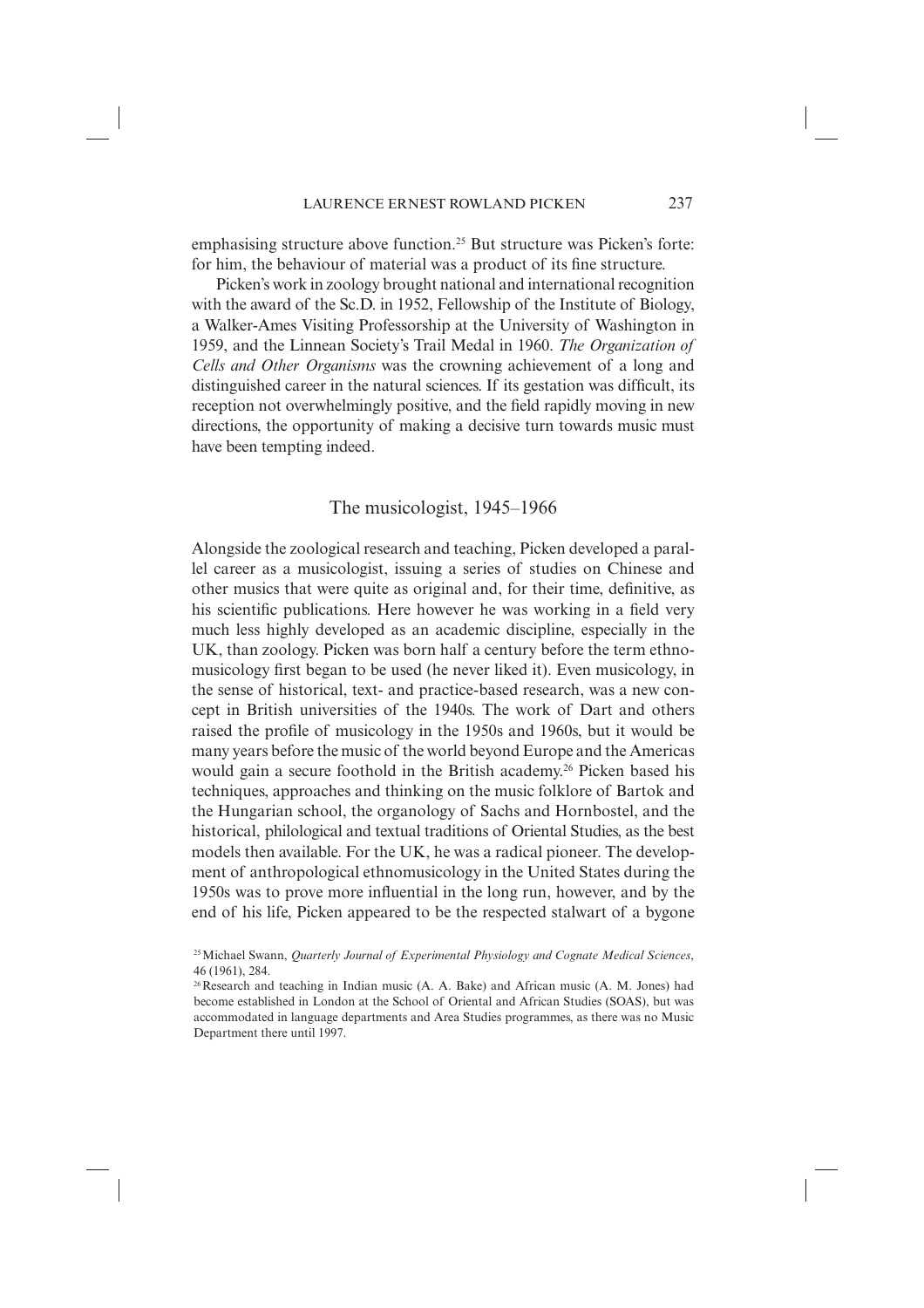emphasising structure above function.<sup>25</sup> But structure was Picken's forte: for him, the behaviour of material was a product of its fine structure.

Picken's work in zoology brought national and international recognition with the award of the Sc.D. in 1952, Fellowship of the Institute of Biology, a Walker-Ames Visiting Professorship at the University of Washington in 1959, and the Linnean Society's Trail Medal in 1960. *The Organization of Cells and Other Organisms* was the crowning achievement of a long and distinguished career in the natural sciences. If its gestation was difficult, its reception not overwhelmingly positive, and the field rapidly moving in new directions, the opportunity of making a decisive turn towards music must have been tempting indeed.

# The musicologist, 1945–1966

Alongside the zoological research and teaching, Picken developed a parallel career as a musicologist, issuing a series of studies on Chinese and other musics that were quite as original and, for their time, definitive, as his scientific publications. Here however he was working in a field very much less highly developed as an academic discipline, especially in the UK, than zoology. Picken was born half a century before the term ethnomusicology first began to be used (he never liked it). Even musicology, in the sense of historical, text- and practice-based research, was a new concept in British universities of the 1940s. The work of Dart and others raised the profile of musicology in the 1950s and 1960s, but it would be many years before the music of the world beyond Europe and the Americas would gain a secure foothold in the British academy.<sup>26</sup> Picken based his techniques, approaches and thinking on the music folklore of Bartok and the Hungarian school, the organology of Sachs and Hornbostel, and the historical, philological and textual traditions of Oriental Studies, as the best models then available. For the UK, he was a radical pioneer. The development of anthropological ethnomusicology in the United States during the 1950s was to prove more influential in the long run, however, and by the end of his life, Picken appeared to be the respected stalwart of a bygone

<sup>25</sup> Michael Swann, *Quarterly Journal of Experimental Physiology and Cognate Medical Sciences*, 46 (1961), 284.

<sup>26</sup> Research and teaching in Indian music (A. A. Bake) and African music (A. M. Jones) had become established in London at the School of Oriental and African Studies (SOAS), but was accommodated in language departments and Area Studies programmes, as there was no Music Department there until 1997.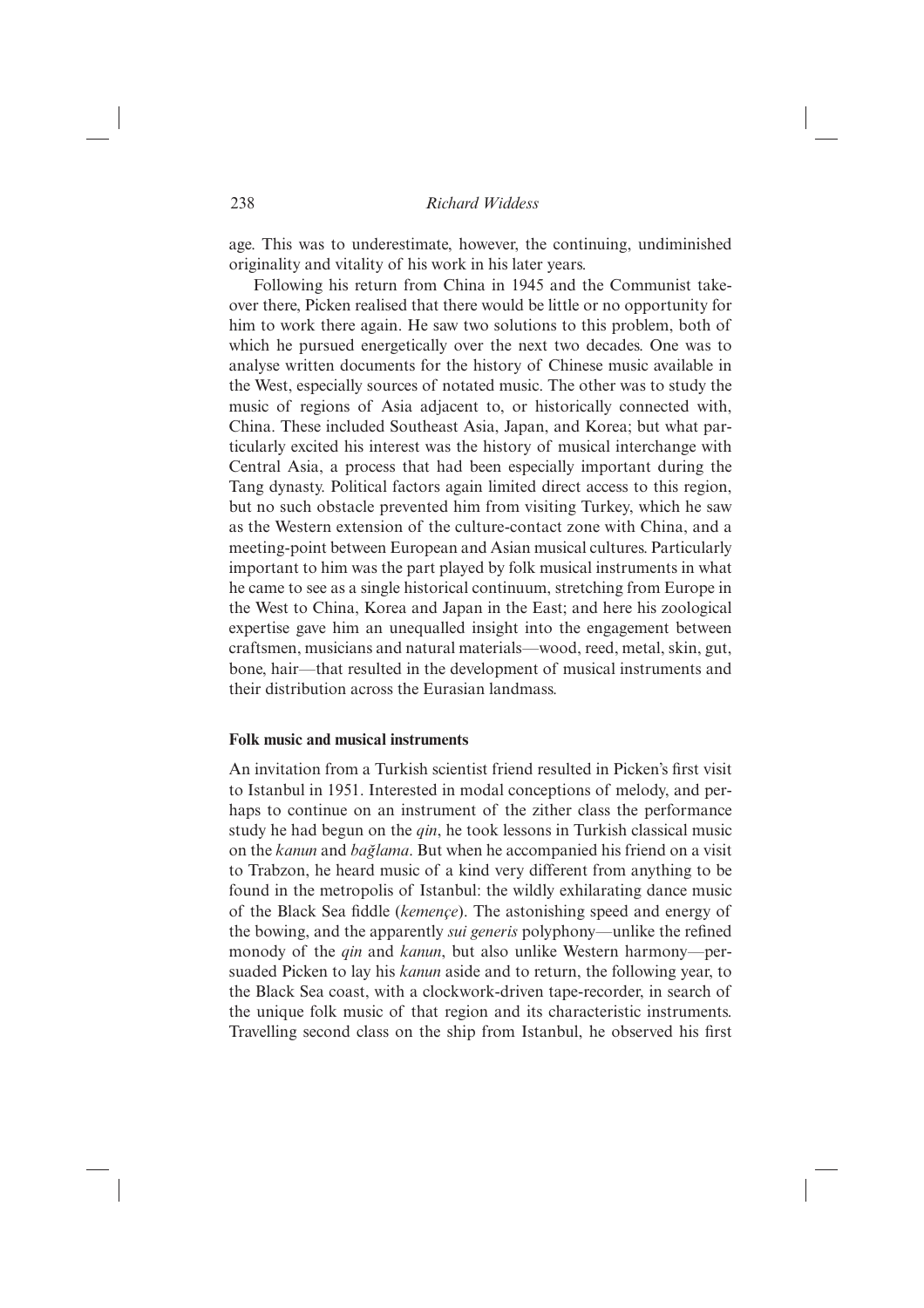age. This was to underestimate, however, the continuing, undiminished originality and vitality of his work in his later years.

Following his return from China in 1945 and the Communist takeover there, Picken realised that there would be little or no opportunity for him to work there again. He saw two solutions to this problem, both of which he pursued energetically over the next two decades. One was to analyse written documents for the history of Chinese music available in the West, especially sources of notated music. The other was to study the music of regions of Asia adjacent to, or historically connected with, China. These included Southeast Asia, Japan, and Korea; but what particularly excited his interest was the history of musical interchange with Central Asia, a process that had been especially important during the Tang dynasty. Political factors again limited direct access to this region, but no such obstacle prevented him from visiting Turkey, which he saw as the Western extension of the culture-contact zone with China, and a meeting-point between European and Asian musical cultures. Particularly important to him was the part played by folk musical instruments in what he came to see as a single historical continuum, stretching from Europe in the West to China, Korea and Japan in the East; and here his zoological expertise gave him an unequalled insight into the engagement between craftsmen, musicians and natural materials—wood, reed, metal, skin, gut, bone, hair—that resulted in the development of musical instruments and their distribution across the Eurasian landmass.

#### **Folk music and musical instruments**

An invitation from a Turkish scientist friend resulted in Picken's first visit to Istanbul in 1951. Interested in modal conceptions of melody, and perhaps to continue on an instrument of the zither class the performance study he had begun on the *qin*, he took lessons in Turkish classical music on the *kanun* and *bag˘lama*. But when he accompanied his friend on a visit to Trabzon, he heard music of a kind very different from anything to be found in the metropolis of Istanbul: the wildly exhilarating dance music of the Black Sea fiddle (*kemençe*). The astonishing speed and energy of the bowing, and the apparently *sui generis* polyphony—unlike the refined monody of the *qin* and *kanun*, but also unlike Western harmony—persuaded Picken to lay his *kanun* aside and to return, the following year, to the Black Sea coast, with a clockwork-driven tape-recorder, in search of the unique folk music of that region and its characteristic instruments. Travelling second class on the ship from Istanbul, he observed his first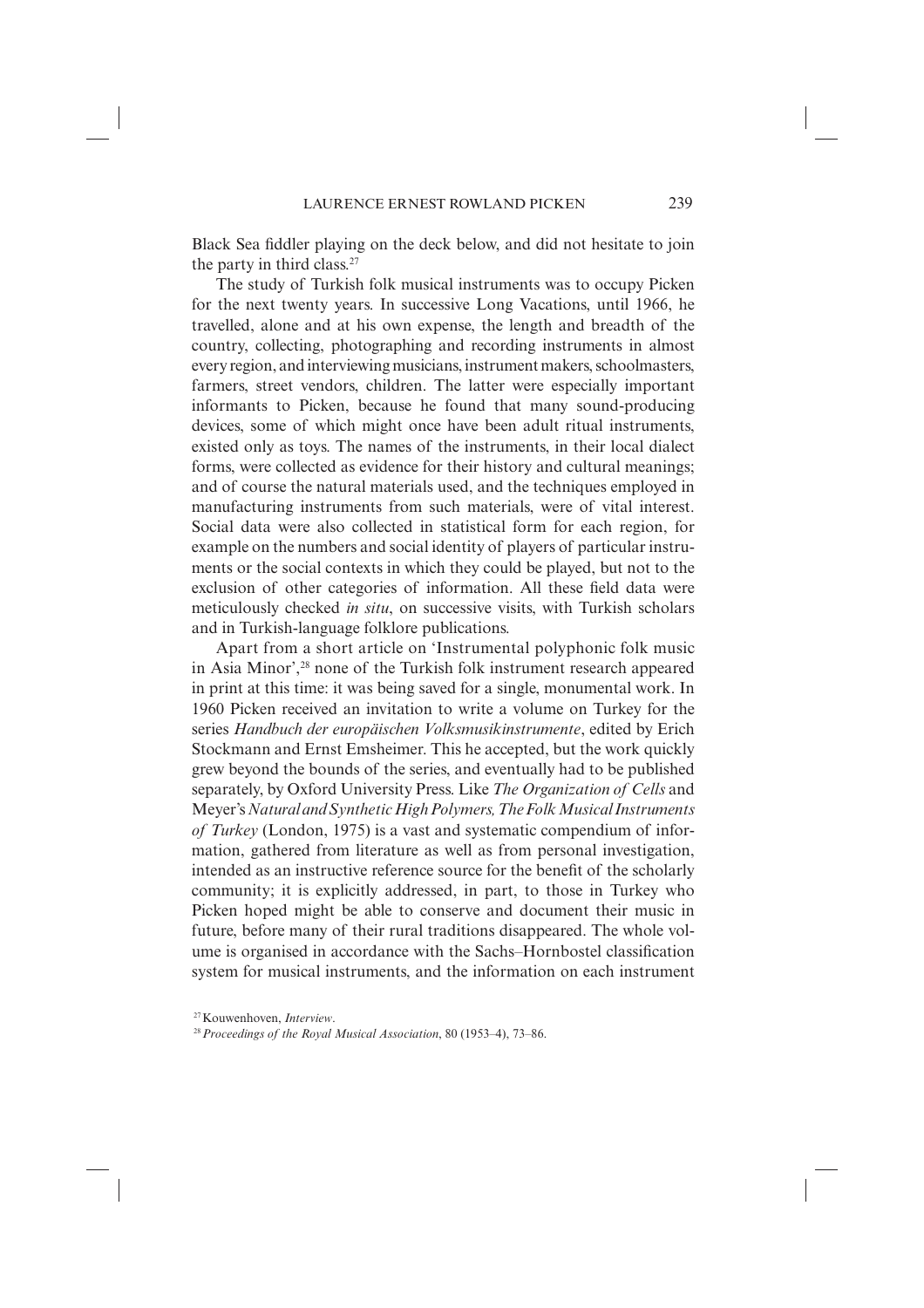Black Sea fiddler playing on the deck below, and did not hesitate to join the party in third class.<sup>27</sup>

The study of Turkish folk musical instruments was to occupy Picken for the next twenty years. In successive Long Vacations, until 1966, he travelled, alone and at his own expense, the length and breadth of the country, collecting, photographing and recording instruments in almost every region, and interviewing musicians, instrument makers, school masters, farmers, street vendors, children. The latter were especially important informants to Picken, because he found that many sound-producing devices, some of which might once have been adult ritual instruments, existed only as toys. The names of the instruments, in their local dialect forms, were collected as evidence for their history and cultural meanings; and of course the natural materials used, and the techniques employed in manufacturing instruments from such materials, were of vital interest. Social data were also collected in statistical form for each region, for example on the numbers and social identity of players of particular instruments or the social contexts in which they could be played, but not to the exclusion of other categories of information. All these field data were meticulously checked *in situ*, on successive visits, with Turkish scholars and in Turkish-language folklore publications.

Apart from a short article on 'Instrumental polyphonic folk music in Asia Minor',28 none of the Turkish folk instrument research appeared in print at this time: it was being saved for a single, monumental work. In 1960 Picken received an invitation to write a volume on Turkey for the series *Handbuch der europäischen Volksmusikinstrumente*, edited by Erich Stockmann and Ernst Emsheimer. This he accepted, but the work quickly grew beyond the bounds of the series, and eventually had to be published separately, by Oxford University Press. Like *The Organization of Cells* and Meyer's *Natural and Synthetic High Polymers,The Folk Musical Instruments of Turkey* (London, 1975) is a vast and systematic compendium of information, gathered from literature as well as from personal investigation, intended as an instructive reference source for the benefit of the scholarly community; it is explicitly addressed, in part, to those in Turkey who Picken hoped might be able to conserve and document their music in future, before many of their rural traditions disappeared. The whole volume is organised in accordance with the Sachs–Hornbostel classification system for musical instruments, and the information on each instrument

<sup>27</sup> Kouwenhoven, *Interview*.

<sup>28</sup>*Proceedings of the Royal Musical Association*, 80 (1953–4), 73–86.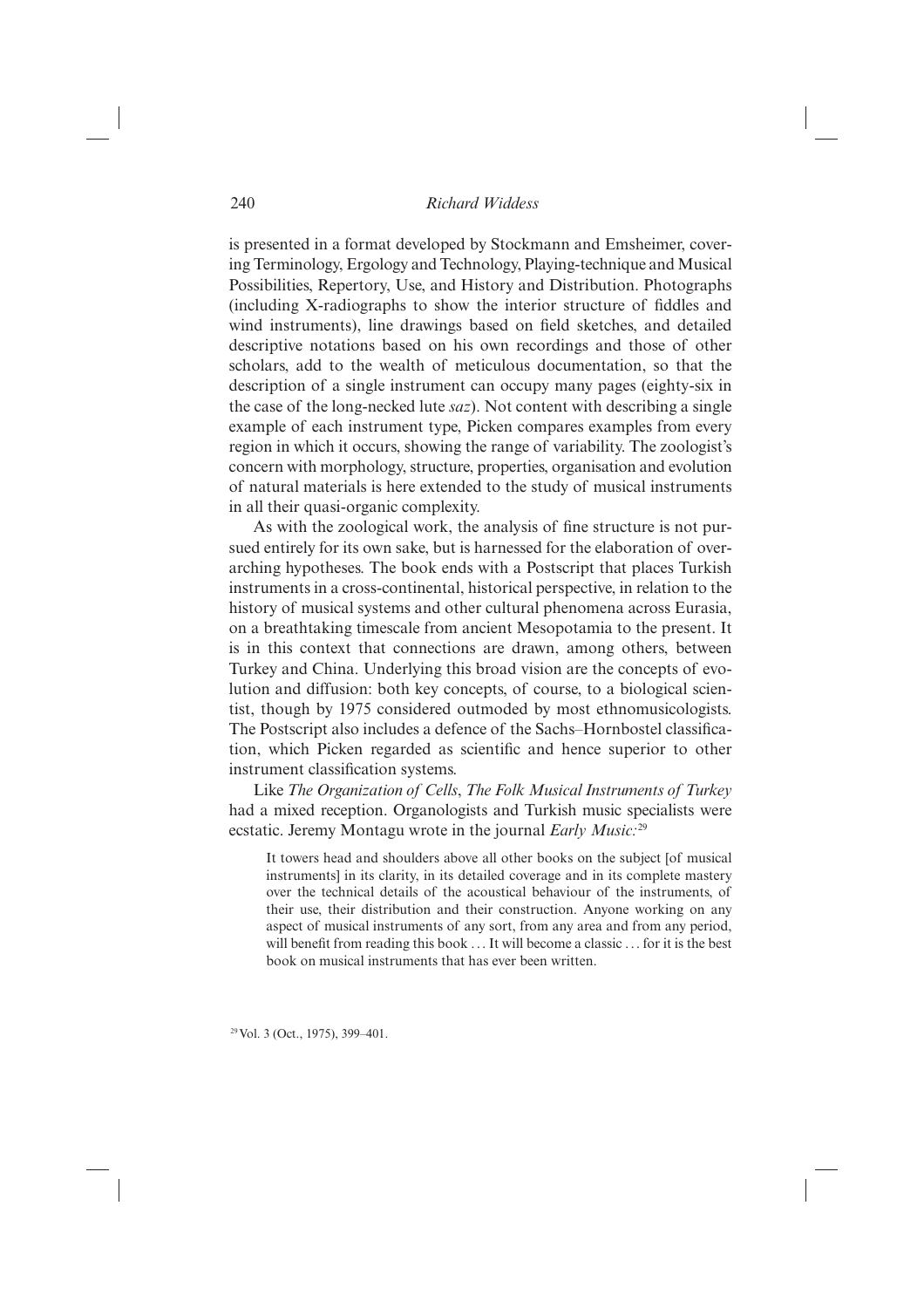is presented in a format developed by Stockmann and Emsheimer, covering Terminology, Ergology and Technology, Playing-technique and Musical Possibilities, Repertory, Use, and History and Distribution. Photographs (including X-radiographs to show the interior structure of fiddles and wind instruments), line drawings based on field sketches, and detailed descriptive notations based on his own recordings and those of other scholars, add to the wealth of meticulous documentation, so that the description of a single instrument can occupy many pages (eighty-six in the case of the long-necked lute *saz*). Not content with describing a single example of each instrument type, Picken compares examples from every region in which it occurs, showing the range of variability. The zoologist's concern with morphology, structure, properties, organisation and evolution of natural materials is here extended to the study of musical instruments in all their quasi-organic complexity.

As with the zoological work, the analysis of fine structure is not pursued entirely for its own sake, but is harnessed for the elaboration of overarching hypotheses. The book ends with a Postscript that places Turkish instruments in a cross-continental, historical perspective, in relation to the history of musical systems and other cultural phenomena across Eurasia, on a breathtaking timescale from ancient Mesopotamia to the present. It is in this context that connections are drawn, among others, between Turkey and China. Underlying this broad vision are the concepts of evolution and diffusion: both key concepts, of course, to a biological scientist, though by 1975 considered outmoded by most ethnomusicologists. The Postscript also includes a defence of the Sachs–Hornbostel classification, which Picken regarded as scientific and hence superior to other instrument classification systems.

Like *The Organization of Cells*, *The Folk Musical Instruments of Turkey* had a mixed reception. Organologists and Turkish music specialists were ecstatic. Jeremy Montagu wrote in the journal *Early Music:*<sup>29</sup>

It towers head and shoulders above all other books on the subject [of musical instruments] in its clarity, in its detailed coverage and in its complete mastery over the technical details of the acoustical behaviour of the instruments, of their use, their distribution and their construction. Anyone working on any aspect of musical instruments of any sort, from any area and from any period, will benefit from reading this book  $\dots$  It will become a classic  $\dots$  for it is the best book on musical instruments that has ever been written.

29 Vol. 3 (Oct., 1975), 399–401.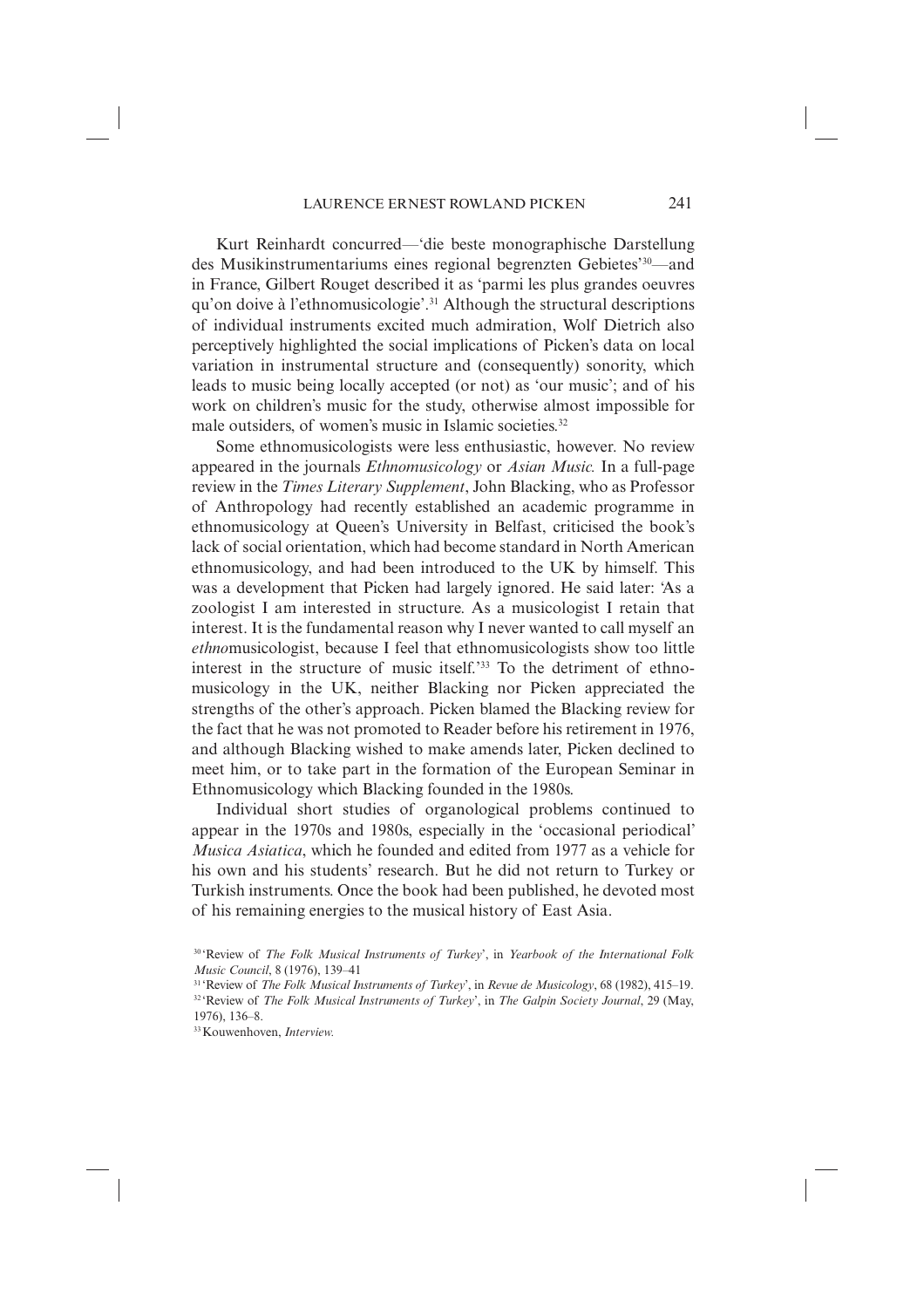Kurt Reinhardt concurred—'die beste monographische Darstellung des Musikinstrumentariums eines regional begrenzten Gebietes'30—and in France, Gilbert Rouget described it as 'parmi les plus grandes oeuvres qu'on doive à l'ethnomusicologie'.31 Although the structural descriptions of individual instruments excited much admiration, Wolf Dietrich also perceptively highlighted the social implications of Picken's data on local variation in instrumental structure and (consequently) sonority, which leads to music being locally accepted (or not) as 'our music'; and of his work on children's music for the study, otherwise almost impossible for male outsiders, of women's music in Islamic societies.<sup>32</sup>

Some ethnomusicologists were less enthusiastic, however. No review appeared in the journals *Ethnomusicology* or *Asian Music.* In a full-page review in the *Times Literary Supplement*, John Blacking, who as Professor of Anthropology had recently established an academic programme in ethno musicology at Queen's University in Belfast, criticised the book's lack of social orientation, which had become standard in North American ethnomusicology, and had been introduced to the UK by himself. This was a development that Picken had largely ignored. He said later: 'As a zoologist I am interested in structure. As a musicologist I retain that interest. It is the fundamental reason why I never wanted to call myself an *ethno*musicologist, because I feel that ethnomusicologists show too little interest in the structure of music itself.'33 To the detriment of ethnomusicology in the UK, neither Blacking nor Picken appreciated the strengths of the other's approach. Picken blamed the Blacking review for the fact that he was not promoted to Reader before his retirement in 1976, and although Blacking wished to make amends later, Picken declined to meet him, or to take part in the formation of the European Seminar in Ethnomusicology which Blacking founded in the 1980s.

Individual short studies of organological problems continued to appear in the 1970s and 1980s, especially in the 'occasional periodical' *Musica Asiatica*, which he founded and edited from 1977 as a vehicle for his own and his students' research. But he did not return to Turkey or Turkish instruments. Once the book had been published, he devoted most of his remaining energies to the musical history of East Asia.

<sup>30 &#</sup>x27;Review of *The Folk Musical Instruments of Turkey*', in *Yearbook of the International Folk Music Council*, 8 (1976), 139–41

<sup>31 &#</sup>x27;Review of *The Folk Musical Instruments of Turkey*', in *Revue de Musicology*, 68 (1982), 415–19. 32 'Review of *The Folk Musical Instruments of Turkey*', in *The Galpin Society Journal*, 29 (May, 1976), 136–8.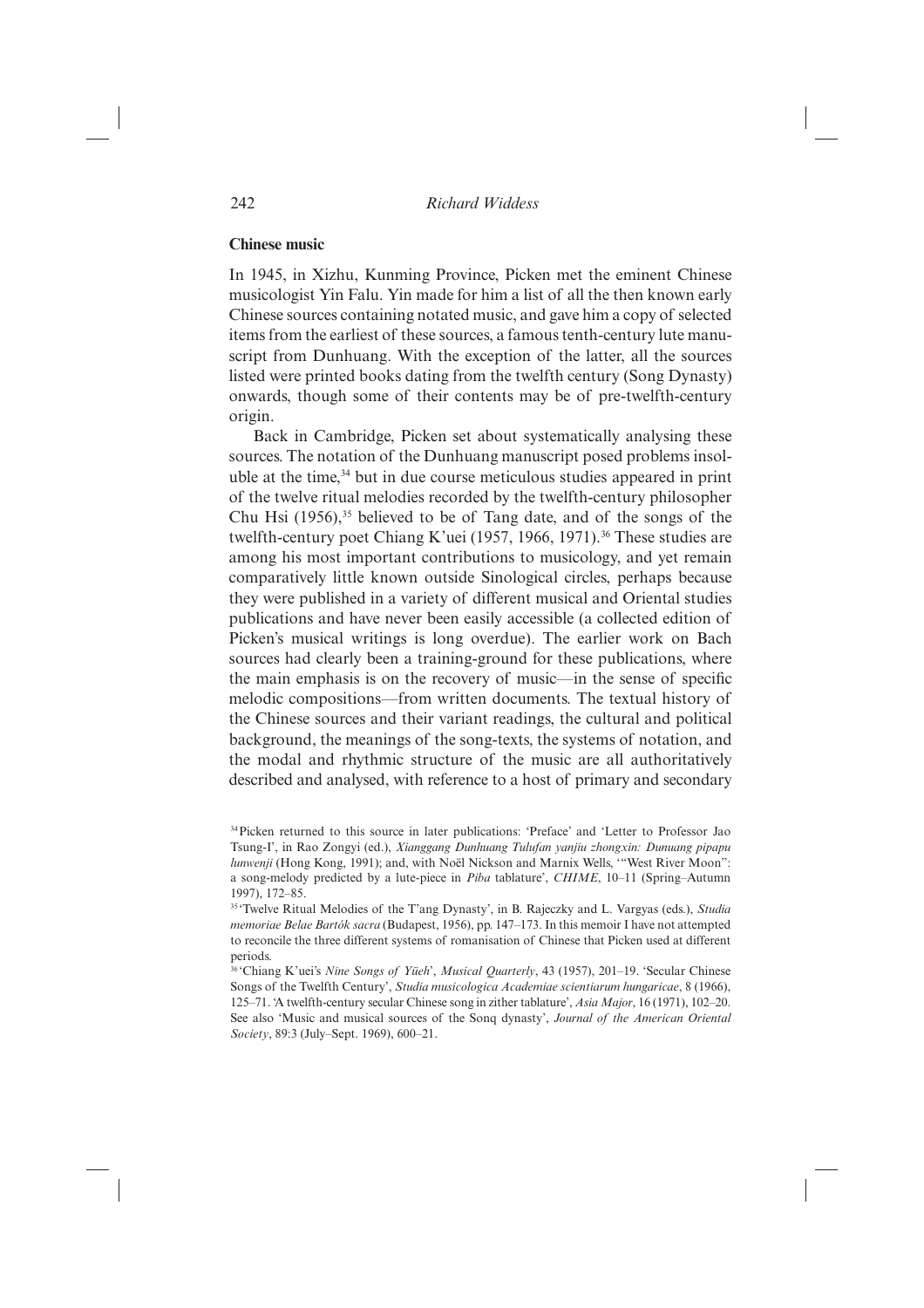#### **Chinese music**

In 1945, in Xizhu, Kunming Province, Picken met the eminent Chinese musicologist Yin Falu. Yin made for him a list of all the then known early Chinese sources containing notated music, and gave him a copy of selected items from the earliest of these sources, a famous tenth-century lute manuscript from Dunhuang. With the exception of the latter, all the sources listed were printed books dating from the twelfth century (Song Dynasty) onwards, though some of their contents may be of pre-twelfth-century origin.

Back in Cambridge, Picken set about systematically analysing these sources. The notation of the Dunhuang manuscript posed problems insoluble at the time,<sup>34</sup> but in due course meticulous studies appeared in print of the twelve ritual melodies recorded by the twelfth-century philosopher Chu Hsi  $(1956)$ ,<sup>35</sup> believed to be of Tang date, and of the songs of the twelfth-century poet Chiang K'uei (1957, 1966, 1971).<sup>36</sup> These studies are among his most important contributions to musicology, and yet remain comparatively little known outside Sinological circles, perhaps because they were published in a variety of different musical and Oriental studies publications and have never been easily accessible (a collected edition of Picken's musical writings is long overdue). The earlier work on Bach sources had clearly been a training-ground for these publications, where the main emphasis is on the recovery of music—in the sense of specific melodic compositions—from written documents. The textual history of the Chinese sources and their variant readings, the cultural and political background, the meanings of the song-texts, the systems of notation, and the modal and rhythmic structure of the music are all authoritatively described and analysed, with reference to a host of primary and secondary

<sup>34</sup> Picken returned to this source in later publications: 'Preface' and 'Letter to Professor Jao Tsung-I', in Rao Zongyi (ed.), *Xianggang Dunhuang Tulufan yanjiu zhongxin: Dunuang pipapu lunwenji* (Hong Kong, 1991); and, with Noël Nickson and Marnix Wells, '"West River Moon": a song-melody predicted by a lute-piece in *Piba* tablature', *CHIME*, 10–11 (Spring–Autumn 1997), 172–85.

<sup>35 &#</sup>x27;Twelve Ritual Melodies of the T'ang Dynasty', in B. Rajeczky and L. Vargyas (eds.), *Studia memoriae Belae Bartók sacra* (Budapest, 1956), pp. 147–173. In this memoir I have not attempted to reconcile the three different systems of romanisation of Chinese that Picken used at different periods.

<sup>36 &#</sup>x27;Chiang K'uei's *Nine Songs of Yüeh*', *Musical Quarterly*, 43 (1957), 201–19. 'Secular Chinese Songs of the Twelfth Century', *Studia musicologica Academiae scientiarum hungaricae*, 8 (1966), 125–71. 'A twelfth-century secular Chinese song in zither tablature', *Asia Major*, 16 (1971), 102–20. See also 'Music and musical sources of the Sonq dynasty', *Journal of the American Oriental Society*, 89:3 (July–Sept. 1969), 600–21.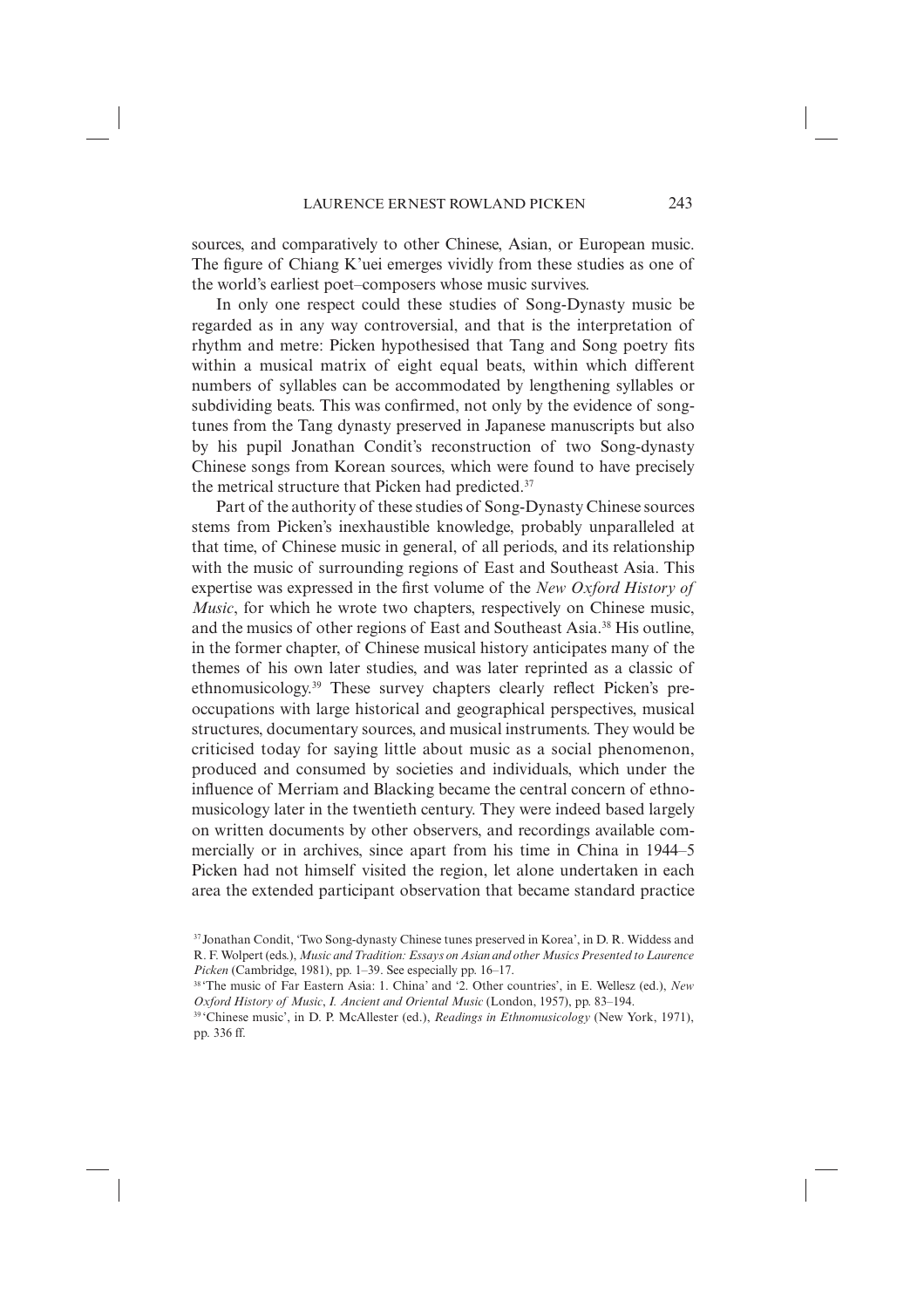sources, and comparatively to other Chinese, Asian, or European music. The figure of Chiang K'uei emerges vividly from these studies as one of the world's earliest poet–composers whose music survives.

In only one respect could these studies of Song-Dynasty music be regarded as in any way controversial, and that is the interpretation of rhythm and metre: Picken hypothesised that Tang and Song poetry fits within a musical matrix of eight equal beats, within which different numbers of syllables can be accommodated by lengthening syllables or subdividing beats. This was confirmed, not only by the evidence of songtunes from the Tang dynasty preserved in Japanese manuscripts but also by his pupil Jonathan Condit's reconstruction of two Song-dynasty Chinese songs from Korean sources, which were found to have precisely the metrical structure that Picken had predicted.<sup>37</sup>

Part of the authority of these studies of Song-Dynasty Chinese sources stems from Picken's inexhaustible knowledge, probably unparalleled at that time, of Chinese music in general, of all periods, and its relationship with the music of surrounding regions of East and Southeast Asia. This expertise was expressed in the first volume of the *New Oxford History of Music*, for which he wrote two chapters, respectively on Chinese music, and the musics of other regions of East and Southeast Asia.38 His outline, in the former chapter, of Chinese musical history anticipates many of the themes of his own later studies, and was later reprinted as a classic of ethnomusicology.<sup>39</sup> These survey chapters clearly reflect Picken's preoccupations with large historical and geographical perspectives, musical structures, documentary sources, and musical instruments. They would be criticised today for saying little about music as a social phenomenon, produced and consumed by societies and individuals, which under the influence of Merriam and Blacking became the central concern of ethnomusicology later in the twentieth century. They were indeed based largely on written documents by other observers, and recordings available commercially or in archives, since apart from his time in China in 1944–5 Picken had not himself visited the region, let alone undertaken in each area the extended participant observation that became standard practice

<sup>37</sup> Jonathan Condit, 'Two Song-dynasty Chinese tunes preserved in Korea', in D. R. Widdess and R. F. Wolpert (eds.), *Music and Tradition: Essays on Asian and other Musics Presented to Laurence Picken* (Cambridge, 1981), pp. 1–39. See especially pp. 16–17.<br><sup>38</sup> 'The music of Far Eastern Asia: 1. China' and '2. Other countries', in E. Wellesz (ed.), *New* 

*Oxford History of Music*, *I. Ancient and Oriental Music* (London, 1957), pp. 83–194. 39 'Chinese music', in D. P. McAllester (ed.), *Readings in Ethnomusicology* (New York, 1971),

pp. 336 ff.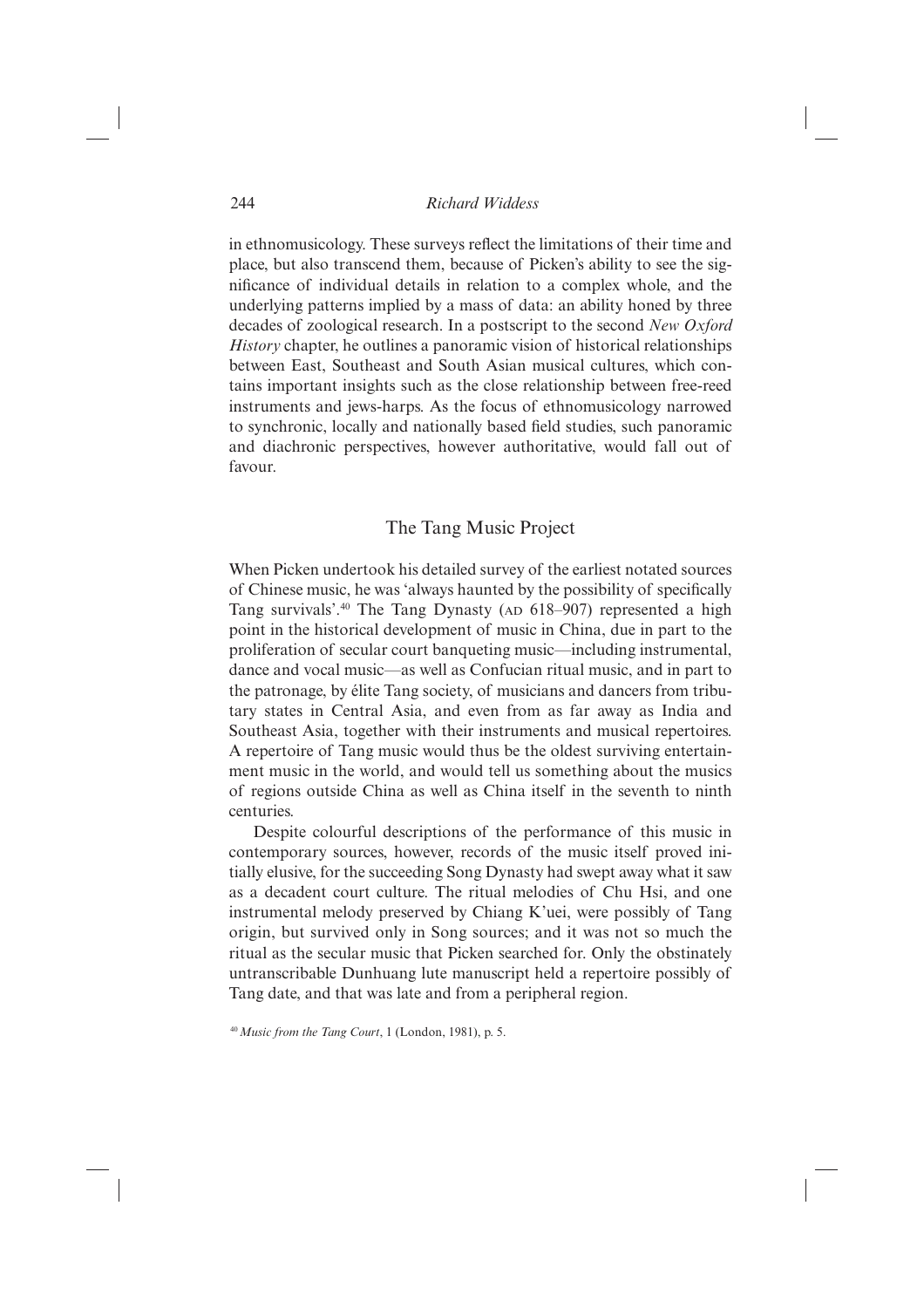in ethnomusicology. These surveys reflect the limitations of their time and place, but also transcend them, because of Picken's ability to see the significance of individual details in relation to a complex whole, and the underlying patterns implied by a mass of data: an ability honed by three decades of zoological research. In a postscript to the second *New Oxford History* chapter, he outlines a panoramic vision of historical relationships between East, Southeast and South Asian musical cultures, which contains important insights such as the close relationship between free-reed instruments and jews-harps. As the focus of ethnomusicology narrowed to synchronic, locally and nationally based field studies, such panoramic and diachronic perspectives, however authoritative, would fall out of favour.

## The Tang Music Project

When Picken undertook his detailed survey of the earliest notated sources of Chinese music, he was 'always haunted by the possibility of specifically Tang survivals'.40 The Tang Dynasty (AD 618–907) represented a high point in the historical development of music in China, due in part to the proliferation of secular court banqueting music—including instrumental, dance and vocal music—as well as Confucian ritual music, and in part to the patronage, by élite Tang society, of musicians and dancers from tributary states in Central Asia, and even from as far away as India and Southeast Asia, together with their instruments and musical repertoires. A repertoire of Tang music would thus be the oldest surviving entertainment music in the world, and would tell us something about the musics of regions outside China as well as China itself in the seventh to ninth centuries.

Despite colourful descriptions of the performance of this music in contemporary sources, however, records of the music itself proved initially elusive, for the succeeding Song Dynasty had swept away what it saw as a decadent court culture. The ritual melodies of Chu Hsi, and one instrumental melody preserved by Chiang K'uei, were possibly of Tang origin, but survived only in Song sources; and it was not so much the ritual as the secular music that Picken searched for. Only the obstinately untranscribable Dunhuang lute manuscript held a repertoire possibly of Tang date, and that was late and from a peripheral region.

<sup>40</sup>*Music from the Tang Court*, 1 (London, 1981), p. 5.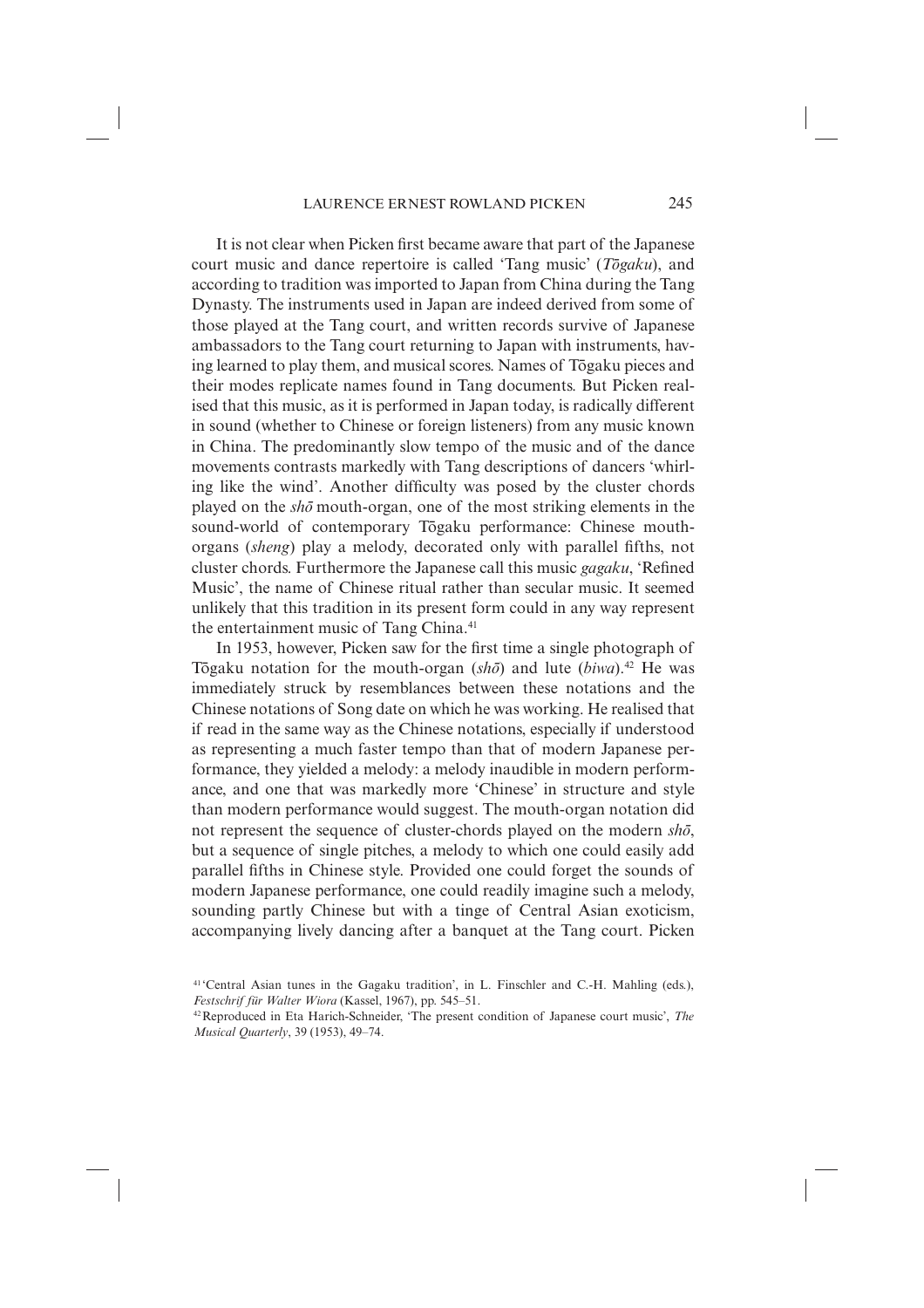It is not clear when Picken first became aware that part of the Japanese court music and dance repertoire is called 'Tang music' (*Togaku*), and according to tradition was imported to Japan from China during the Tang Dynasty. The instruments used in Japan are indeed derived from some of those played at the Tang court, and written records survive of Japanese ambassadors to the Tang court returning to Japan with instruments, having learned to play them, and musical scores. Names of Togaku pieces and their modes replicate names found in Tang documents. But Picken realised that this music, as it is performed in Japan today, is radically different in sound (whether to Chinese or foreign listeners) from any music known in China. The predominantly slow tempo of the music and of the dance movements contrasts markedly with Tang descriptions of dancers 'whirling like the wind'. Another difficulty was posed by the cluster chords played on the *sho¯* mouth-organ, one of the most striking elements in the sound-world of contemporary Togaku performance: Chinese mouthorgans (*sheng*) play a melody, decorated only with parallel fifths, not cluster chords. Furthermore the Japanese call this music *gagaku*, 'Refined Music', the name of Chinese ritual rather than secular music. It seemed unlikely that this tradition in its present form could in any way represent the entertainment music of Tang China.<sup>41</sup>

In 1953, however, Picken saw for the first time a single photograph of Tōgaku notation for the mouth-organ  $(sh\bar{o})$  and lute  $(biwa)$ .<sup>42</sup> He was immediately struck by resemblances between these notations and the Chinese notations of Song date on which he was working. He realised that if read in the same way as the Chinese notations, especially if understood as representing a much faster tempo than that of modern Japanese performance, they yielded a melody: a melody inaudible in modern performance, and one that was markedly more 'Chinese' in structure and style than modern performance would suggest. The mouth-organ notation did not represent the sequence of cluster-chords played on the modern *sho*<sup>7</sup>, but a sequence of single pitches, a melody to which one could easily add parallel fifths in Chinese style. Provided one could forget the sounds of modern Japanese performance, one could readily imagine such a melody, sounding partly Chinese but with a tinge of Central Asian exoticism, accompanying lively dancing after a banquet at the Tang court. Picken

<sup>41 &#</sup>x27;Central Asian tunes in the Gagaku tradition', in L. Finschler and C.-H. Mahling (eds.), *Festschrif für Walter Wiora* (Kassel, 1967), pp. 545–51.

<sup>42</sup> Reproduced in Eta Harich-Schneider, 'The present condition of Japanese court music', *The Musical Quarterly*, 39 (1953), 49–74.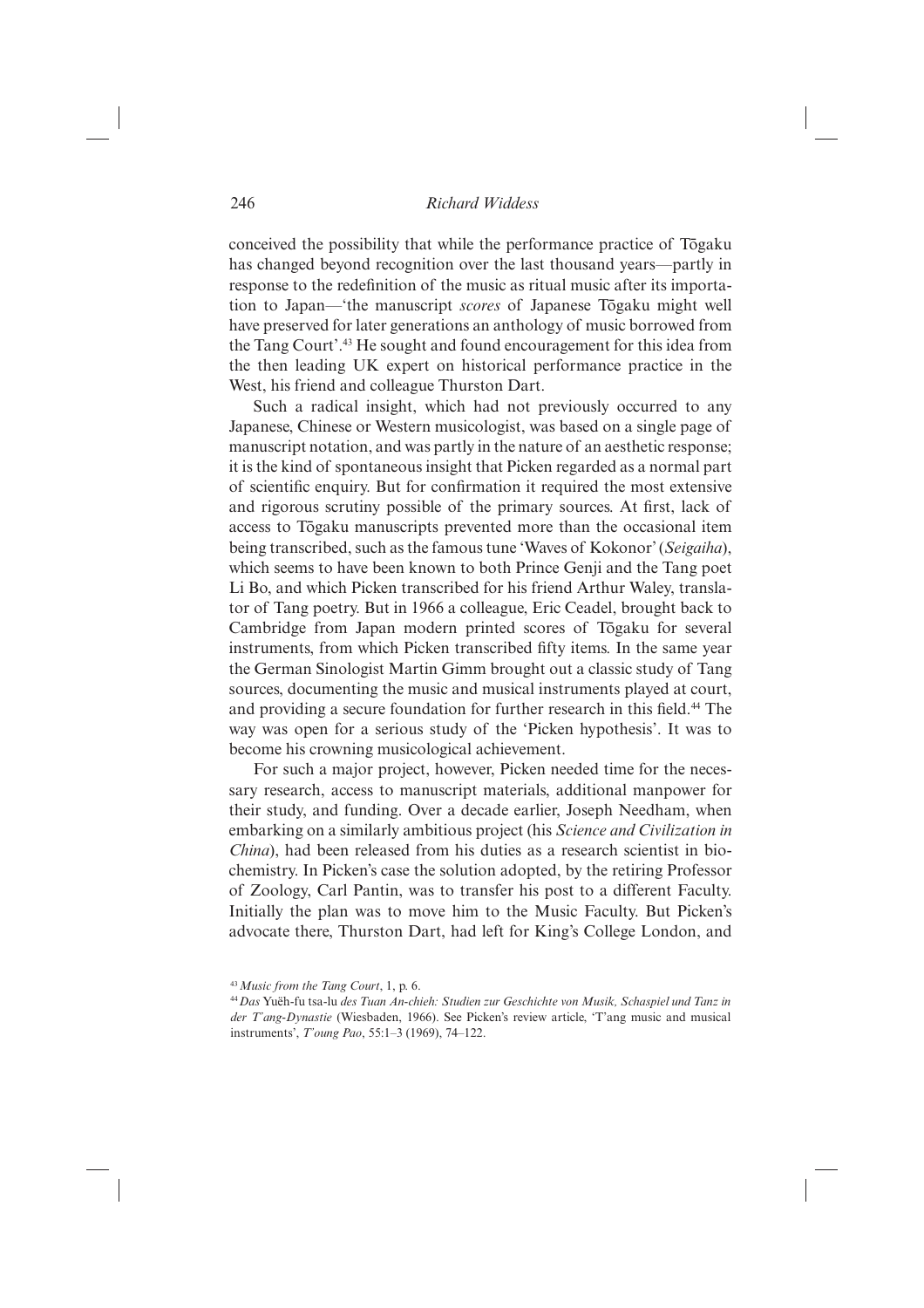conceived the possibility that while the performance practice of Togaku has changed beyond recognition over the last thousand years—partly in response to the redefinition of the music as ritual music after its importation to Japan—'the manuscript *scores* of Japanese Togaku might well have preserved for later generations an anthology of music borrowed from the Tang Court'.43 He sought and found encouragement for this idea from the then leading UK expert on historical performance practice in the West, his friend and colleague Thurston Dart.

Such a radical insight, which had not previously occurred to any Japanese, Chinese or Western musicologist, was based on a single page of manuscript notation, and was partly in the nature of an aesthetic response; it is the kind of spontaneous insight that Picken regarded as a normal part of scientific enquiry. But for confirmation it required the most extensive and rigorous scrutiny possible of the primary sources. At first, lack of access to Tōgaku manuscripts prevented more than the occasional item being transcribed, such as the famous tune 'Waves of Kokonor' (*Seigaiha*), which seems to have been known to both Prince Genji and the Tang poet Li Bo, and which Picken transcribed for his friend Arthur Waley, translator of Tang poetry. But in 1966 a colleague, Eric Ceadel, brought back to Cambridge from Japan modern printed scores of Togaku for several instruments, from which Picken transcribed fifty items. In the same year the German Sinologist Martin Gimm brought out a classic study of Tang sources, documenting the music and musical instruments played at court, and providing a secure foundation for further research in this field.<sup>44</sup> The way was open for a serious study of the 'Picken hypothesis'. It was to become his crowning musicological achievement.

For such a major project, however, Picken needed time for the necessary research, access to manuscript materials, additional manpower for their study, and funding. Over a decade earlier, Joseph Needham, when embarking on a similarly ambitious project (his *Science and Civilization in China*), had been released from his duties as a research scientist in biochemistry. In Picken's case the solution adopted, by the retiring Professor of Zoology, Carl Pantin, was to transfer his post to a different Faculty. Initially the plan was to move him to the Music Faculty. But Picken's advocate there, Thurston Dart, had left for King's College London, and

<sup>43</sup>*Music from the Tang Court*, 1, p. 6.

<sup>44</sup>*Das* Yuëh-fu tsa-lu *des Tuan An-chieh: Studien zur Geschichte von Musik, Schaspiel und Tanz in der T'ang-Dynastie* (Wiesbaden, 1966). See Picken's review article, 'T'ang music and musical instruments', *T'oung Pao*, 55:1–3 (1969), 74–122.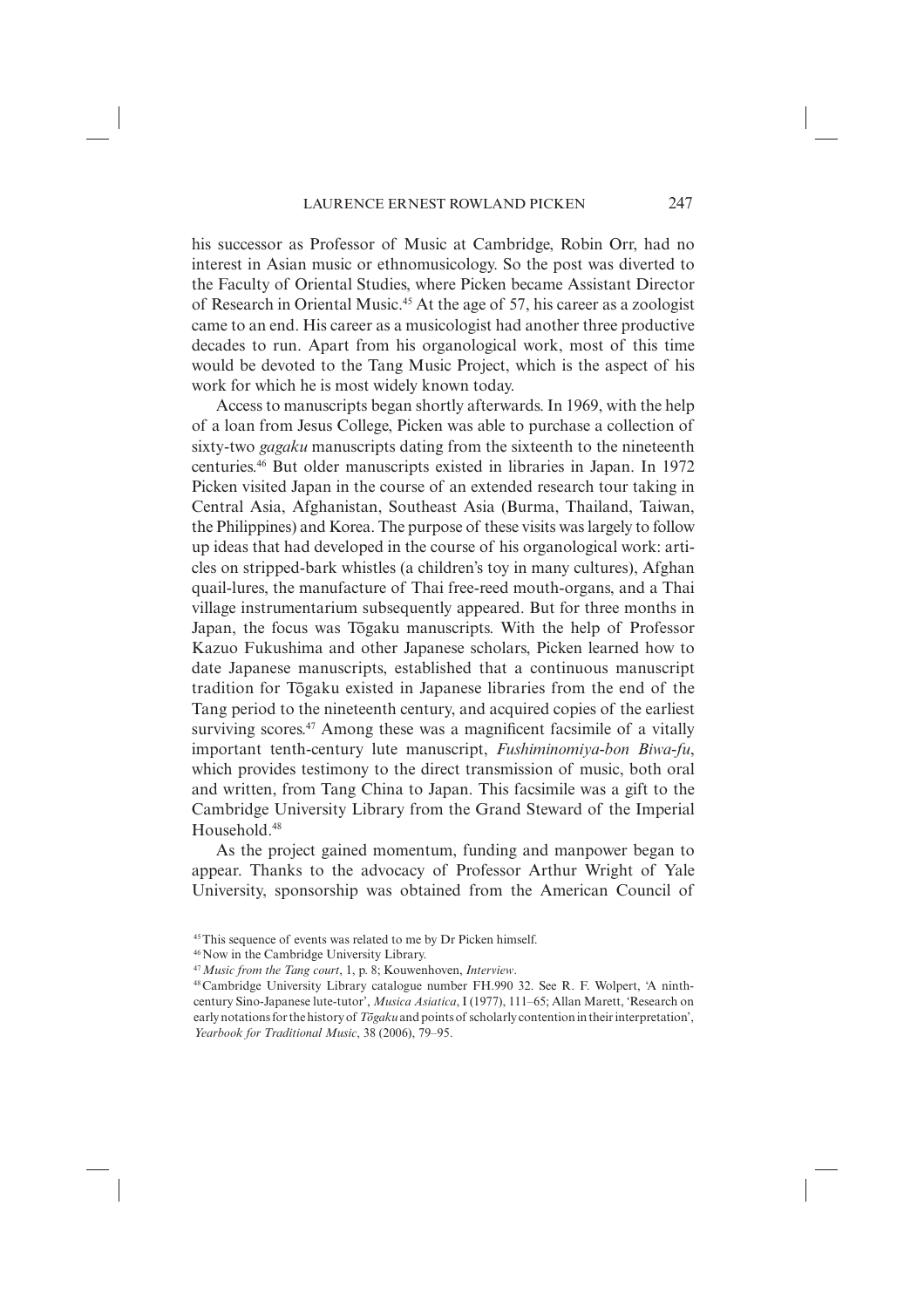his successor as Professor of Music at Cambridge, Robin Orr, had no interest in Asian music or ethnomusicology. So the post was diverted to the Faculty of Oriental Studies, where Picken became Assistant Director of Research in Oriental Music.45 At the age of 57, his career as a zoologist came to an end. His career as a musicologist had another three productive decades to run. Apart from his organological work, most of this time would be devoted to the Tang Music Project, which is the aspect of his work for which he is most widely known today.

Access to manuscripts began shortly afterwards. In 1969, with the help of a loan from Jesus College, Picken was able to purchase a collection of sixty-two *gagaku* manuscripts dating from the sixteenth to the nineteenth centuries.46 But older manuscripts existed in libraries in Japan. In 1972 Picken visited Japan in the course of an extended research tour taking in Central Asia, Afghanistan, Southeast Asia (Burma, Thailand, Taiwan, the Philippines) and Korea. The purpose of these visits was largely to follow up ideas that had developed in the course of his organological work: articles on stripped-bark whistles (a children's toy in many cultures), Afghan quail-lures, the manufacture of Thai free-reed mouth-organs, and a Thai village instrumentarium subsequently appeared. But for three months in Japan, the focus was Togaku manuscripts. With the help of Professor Kazuo Fukushima and other Japanese scholars, Picken learned how to date Japanese manuscripts, established that a continuous manuscript tradition for Togaku existed in Japanese libraries from the end of the Tang period to the nineteenth century, and acquired copies of the earliest surviving scores. $47$  Among these was a magnificent facsimile of a vitally important tenth-century lute manuscript, *Fushiminomiya-bon Biwa-fu*, which provides testimony to the direct transmission of music, both oral and written, from Tang China to Japan. This facsimile was a gift to the Cambridge University Library from the Grand Steward of the Imperial Household<sup>48</sup>

As the project gained momentum, funding and manpower began to appear. Thanks to the advocacy of Professor Arthur Wright of Yale University, sponsorship was obtained from the American Council of

<sup>45</sup> This sequence of events was related to me by Dr Picken himself.

<sup>46</sup> Now in the Cambridge University Library.

<sup>47</sup>*Music from the Tang court*, 1, p. 8; Kouwenhoven, *Interview*.

<sup>48</sup> Cambridge University Library catalogue number FH.990 32. See R. F. Wolpert, 'A ninthcentury Sino-Japanese lute-tutor', *Musica Asiatica*, I (1977), 111–65; Allan Marett, 'Research on early notations for the history of *Togaku* and points of scholarly contention in their interpretation', *Yearbook for Traditional Music*, 38 (2006), 79–95.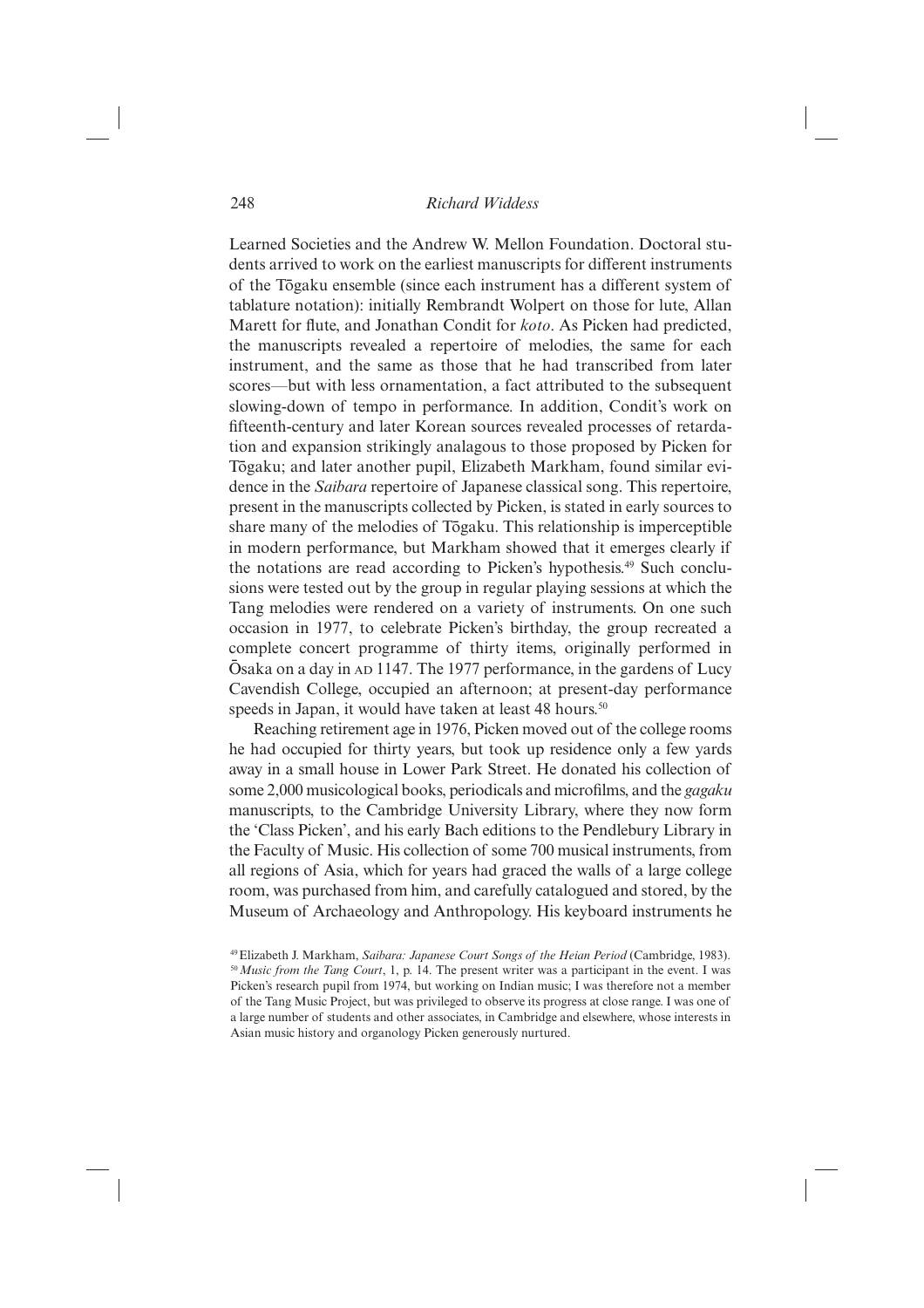Learned Societies and the Andrew W. Mellon Foundation. Doctoral students arrived to work on the earliest manuscripts for different instruments of the Togaku ensemble (since each instrument has a different system of tablature notation): initially Rembrandt Wolpert on those for lute, Allan Marett for flute, and Jonathan Condit for *koto*. As Picken had predicted, the manuscripts revealed a repertoire of melodies, the same for each instrument, and the same as those that he had transcribed from later scores—but with less ornamentation, a fact attributed to the subsequent slowing-down of tempo in performance. In addition, Condit's work on fifteenth-century and later Korean sources revealed processes of retardation and expansion strikingly analagous to those proposed by Picken for Tōgaku; and later another pupil, Elizabeth Markham, found similar evidence in the *Saibara* repertoire of Japanese classical song. This repertoire, present in the manuscripts collected by Picken, is stated in early sources to share many of the melodies of Tōgaku. This relationship is imperceptible in modern performance, but Markham showed that it emerges clearly if the notations are read according to Picken's hypothesis.49 Such conclusions were tested out by the group in regular playing sessions at which the Tang melodies were rendered on a variety of instruments. On one such occasion in 1977, to celebrate Picken's birthday, the group recreated a complete concert programme of thirty items, originally performed in Ōsaka on a day in AD 1147. The 1977 performance, in the gardens of Lucy Cavendish College, occupied an afternoon; at present-day performance speeds in Japan, it would have taken at least 48 hours.<sup>50</sup>

Reaching retirement age in 1976, Picken moved out of the college rooms he had occupied for thirty years, but took up residence only a few yards away in a small house in Lower Park Street. He donated his collection of some 2,000 musicological books, periodicals and microfilms, and the *gagaku* manuscripts, to the Cambridge University Library, where they now form the 'Class Picken', and his early Bach editions to the Pendlebury Library in the Faculty of Music. His collection of some 700 musical instruments, from all regions of Asia, which for years had graced the walls of a large college room, was purchased from him, and carefully catalogued and stored, by the Museum of Archaeology and Anthropology. His keyboard instruments he

<sup>49</sup> Elizabeth J. Markham, *Saibara: Japanese Court Songs of the Heian Period* (Cambridge, 1983). <sup>50</sup>*Music from the Tang Court*, 1, p. 14. The present writer was a participant in the event. I was Picken's research pupil from 1974, but working on Indian music; I was therefore not a member of the Tang Music Project, but was privileged to observe its progress at close range. I was one of a large number of students and other associates, in Cambridge and elsewhere, whose interests in Asian music history and organology Picken generously nurtured.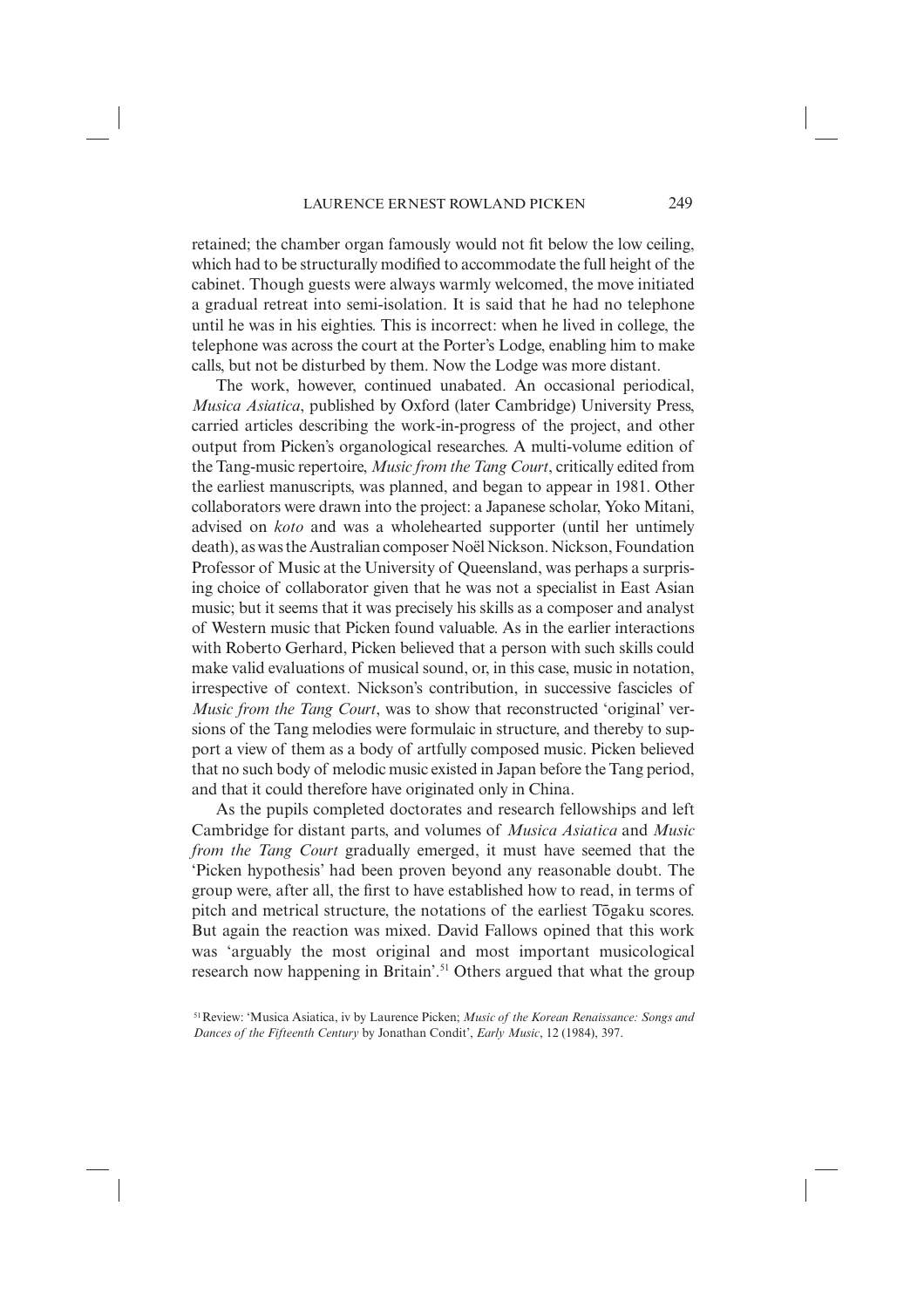retained; the chamber organ famously would not fit below the low ceiling, which had to be structurally modified to accommodate the full height of the cabinet. Though guests were always warmly welcomed, the move initiated a gradual retreat into semi-isolation. It is said that he had no telephone until he was in his eighties. This is incorrect: when he lived in college, the telephone was across the court at the Porter's Lodge, enabling him to make calls, but not be disturbed by them. Now the Lodge was more distant.

The work, however, continued unabated. An occasional periodical, *Musica Asiatica*, published by Oxford (later Cambridge) University Press, carried articles describing the work-in-progress of the project, and other output from Picken's organological researches. A multi-volume edition of the Tang-music repertoire, *Music from the Tang Court*, critically edited from the earliest manuscripts, was planned, and began to appear in 1981. Other collaborators were drawn into the project: a Japanese scholar, Yoko Mitani, advised on *koto* and was a wholehearted supporter (until her untimely death), as was the Australian composer Noël Nickson. Nickson, Foundation Professor of Music at the University of Queensland, was perhaps a surprising choice of collaborator given that he was not a specialist in East Asian music; but it seems that it was precisely his skills as a composer and analyst of Western music that Picken found valuable. As in the earlier interactions with Roberto Gerhard, Picken believed that a person with such skills could make valid evaluations of musical sound, or, in this case, music in notation, irrespective of context. Nickson's contribution, in successive fascicles of *Music from the Tang Court*, was to show that reconstructed 'original' versions of the Tang melodies were formulaic in structure, and thereby to support a view of them as a body of artfully composed music. Picken believed that no such body of melodic music existed in Japan before the Tang period, and that it could therefore have originated only in China.

As the pupils completed doctorates and research fellowships and left Cambridge for distant parts, and volumes of *Musica Asiatica* and *Music from the Tang Court* gradually emerged, it must have seemed that the 'Picken hypothesis' had been proven beyond any reasonable doubt. The group were, after all, the first to have established how to read, in terms of pitch and metrical structure, the notations of the earliest Togaku scores. But again the reaction was mixed. David Fallows opined that this work was 'arguably the most original and most important musicological research now happening in Britain'.51 Others argued that what the group

<sup>51</sup> Review: 'Musica Asiatica, iv by Laurence Picken; *Music of the Korean Renaissance: Songs and Dances of the Fifteenth Century* by Jonathan Condit', *Early Music*, 12 (1984), 397.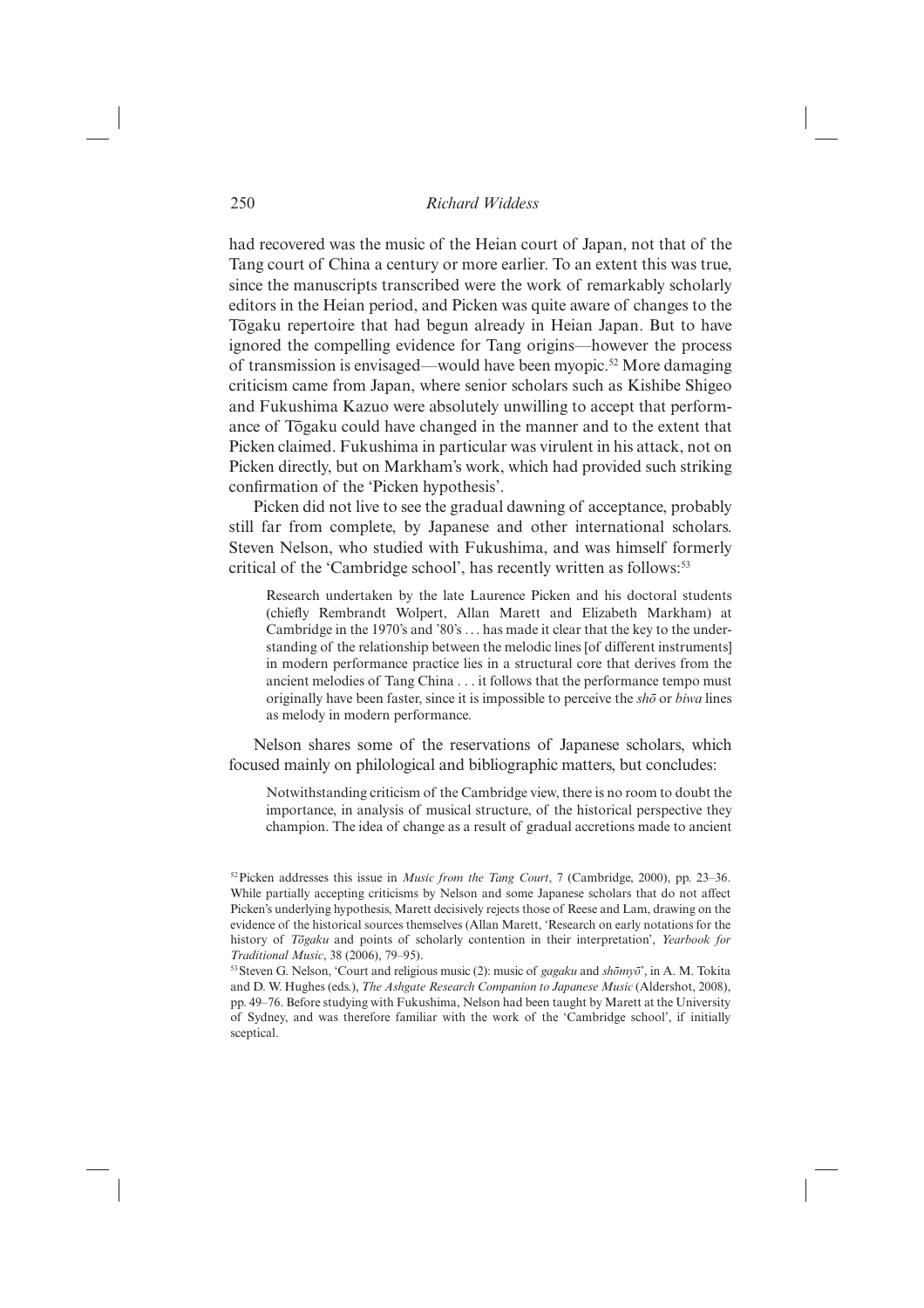had recovered was the music of the Heian court of Japan, not that of the Tang court of China a century or more earlier. To an extent this was true, since the manuscripts transcribed were the work of remarkably scholarly editors in the Heian period, and Picken was quite aware of changes to the Togaku repertoire that had begun already in Heian Japan. But to have ignored the compelling evidence for Tang origins—however the process of transmission is envisaged—would have been myopic.52 More damaging criticism came from Japan, where senior scholars such as Kishibe Shigeo and Fukushima Kazuo were absolutely unwilling to accept that performance of Togaku could have changed in the manner and to the extent that Picken claimed. Fukushima in particular was virulent in his attack, not on Picken directly, but on Markham's work, which had provided such striking confirmation of the 'Picken hypothesis'.

Picken did not live to see the gradual dawning of acceptance, probably still far from complete, by Japanese and other international scholars. Steven Nelson, who studied with Fukushima, and was himself formerly critical of the 'Cambridge school', has recently written as follows:<sup>53</sup>

Research undertaken by the late Laurence Picken and his doctoral students (chiefly Rembrandt Wolpert, Allan Marett and Elizabeth Markham) at Cambridge in the 1970's and '80's . . . has made it clear that the key to the understanding of the relationship between the melodic lines [of different instruments] in modern performance practice lies in a structural core that derives from the ancient melodies of Tang China . . . it follows that the performance tempo must originally have been faster, since it is impossible to perceive the *sho¯* or *biwa* lines as melody in modern performance.

Nelson shares some of the reservations of Japanese scholars, which focused mainly on philological and bibliographic matters, but concludes:

Notwithstanding criticism of the Cambridge view, there is no room to doubt the importance, in analysis of musical structure, of the historical perspective they champion. The idea of change as a result of gradual accretions made to ancient

<sup>52</sup> Picken addresses this issue in *Music from the Tang Court*, 7 (Cambridge, 2000), pp. 23–36. While partially accepting criticisms by Nelson and some Japanese scholars that do not affect Picken's underlying hypothesis, Marett decisively rejects those of Reese and Lam, drawing on the evidence of the historical sources themselves (Allan Marett, 'Research on early notations for the history of *Togaku* and points of scholarly contention in their interpretation', *Yearbook for Traditional Music*, 38 (2006), 79–95).

 $53$  Steven G. Nelson, 'Court and religious music (2): music of *gagaku* and  $\textit{sh\sigma}m\textit{v\sigma}$ ', in A. M. Tokita and D. W. Hughes (eds.), *The Ashgate Research Companion to Japanese Music* (Aldershot, 2008), pp. 49–76. Before studying with Fukushima, Nelson had been taught by Marett at the University of Sydney, and was therefore familiar with the work of the 'Cambridge school', if initially sceptical.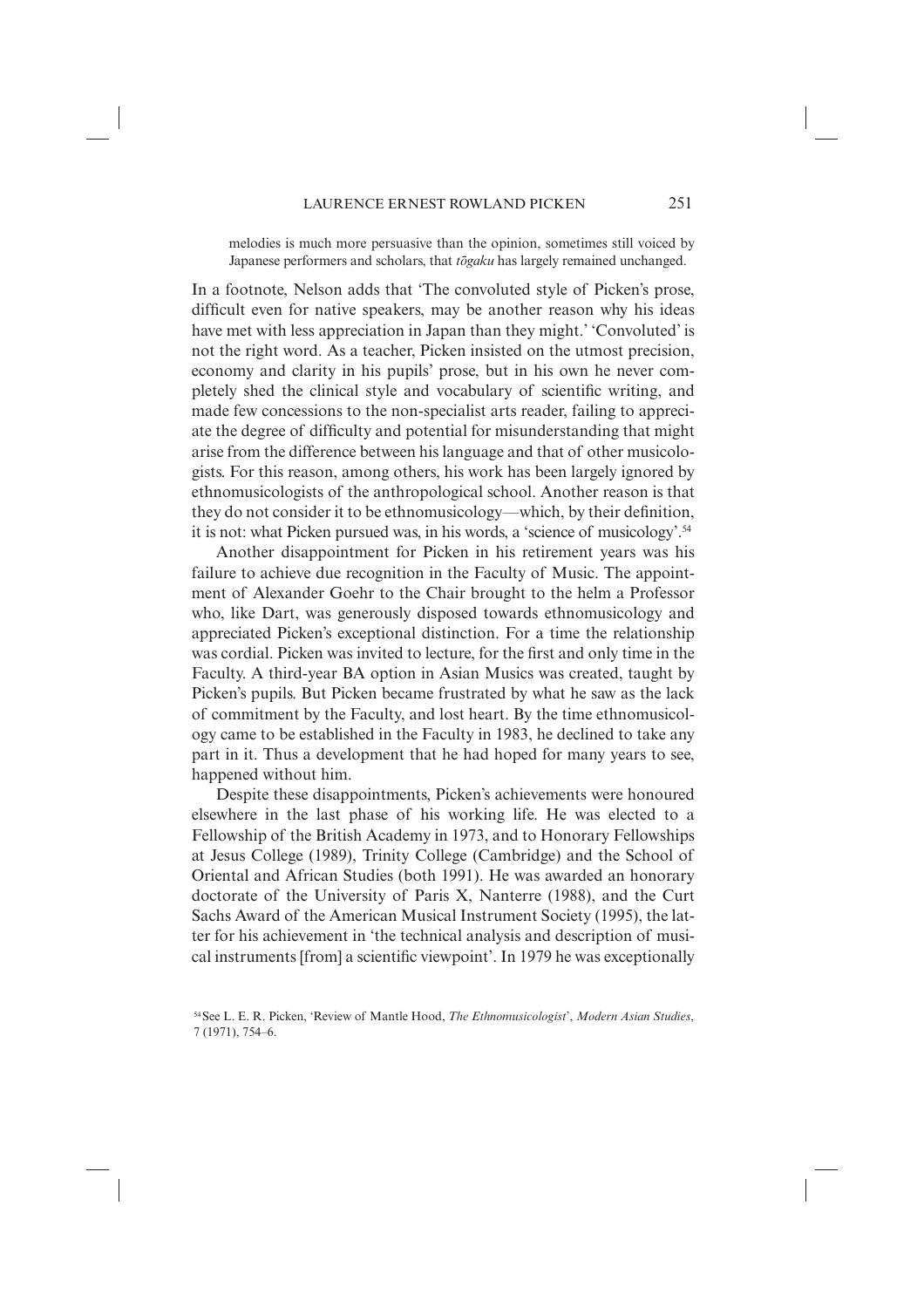melodies is much more persuasive than the opinion, sometimes still voiced by Japanese performers and scholars, that *togaku* has largely remained unchanged.

In a footnote, Nelson adds that 'The convoluted style of Picken's prose, difficult even for native speakers, may be another reason why his ideas have met with less appreciation in Japan than they might.' 'Convoluted' is not the right word. As a teacher, Picken insisted on the utmost precision, economy and clarity in his pupils' prose, but in his own he never completely shed the clinical style and vocabulary of scientific writing, and made few concessions to the non-specialist arts reader, failing to appreciate the degree of difficulty and potential for misunderstanding that might arise from the difference between his language and that of other musicologists. For this reason, among others, his work has been largely ignored by ethnomusicologists of the anthropological school. Another reason is that they do not consider it to be ethnomusicology—which, by their definition, it is not: what Picken pursued was, in his words, a 'science of musicology'.54

Another disappointment for Picken in his retirement years was his failure to achieve due recognition in the Faculty of Music. The appointment of Alexander Goehr to the Chair brought to the helm a Professor who, like Dart, was generously disposed towards ethnomusicology and appreciated Picken's exceptional distinction. For a time the relationship was cordial. Picken was invited to lecture, for the first and only time in the Faculty. A third-year BA option in Asian Musics was created, taught by Picken's pupils. But Picken became frustrated by what he saw as the lack of commitment by the Faculty, and lost heart. By the time ethnomusicology came to be established in the Faculty in 1983, he declined to take any part in it. Thus a development that he had hoped for many years to see, happened without him.

Despite these disappointments, Picken's achievements were honoured elsewhere in the last phase of his working life. He was elected to a Fellowship of the British Academy in 1973, and to Honorary Fellowships at Jesus College (1989), Trinity College (Cambridge) and the School of Oriental and African Studies (both 1991). He was awarded an honorary doctorate of the University of Paris X, Nanterre (1988), and the Curt Sachs Award of the American Musical Instrument Society (1995), the latter for his achievement in 'the technical analysis and description of musical instruments [from] a scientific viewpoint'. In 1979 he was exceptionally

<sup>54</sup> See L. E. R. Picken, 'Review of Mantle Hood, *The Ethnomusicologist*', *Modern Asian Studies*, 7 (1971), 754–6.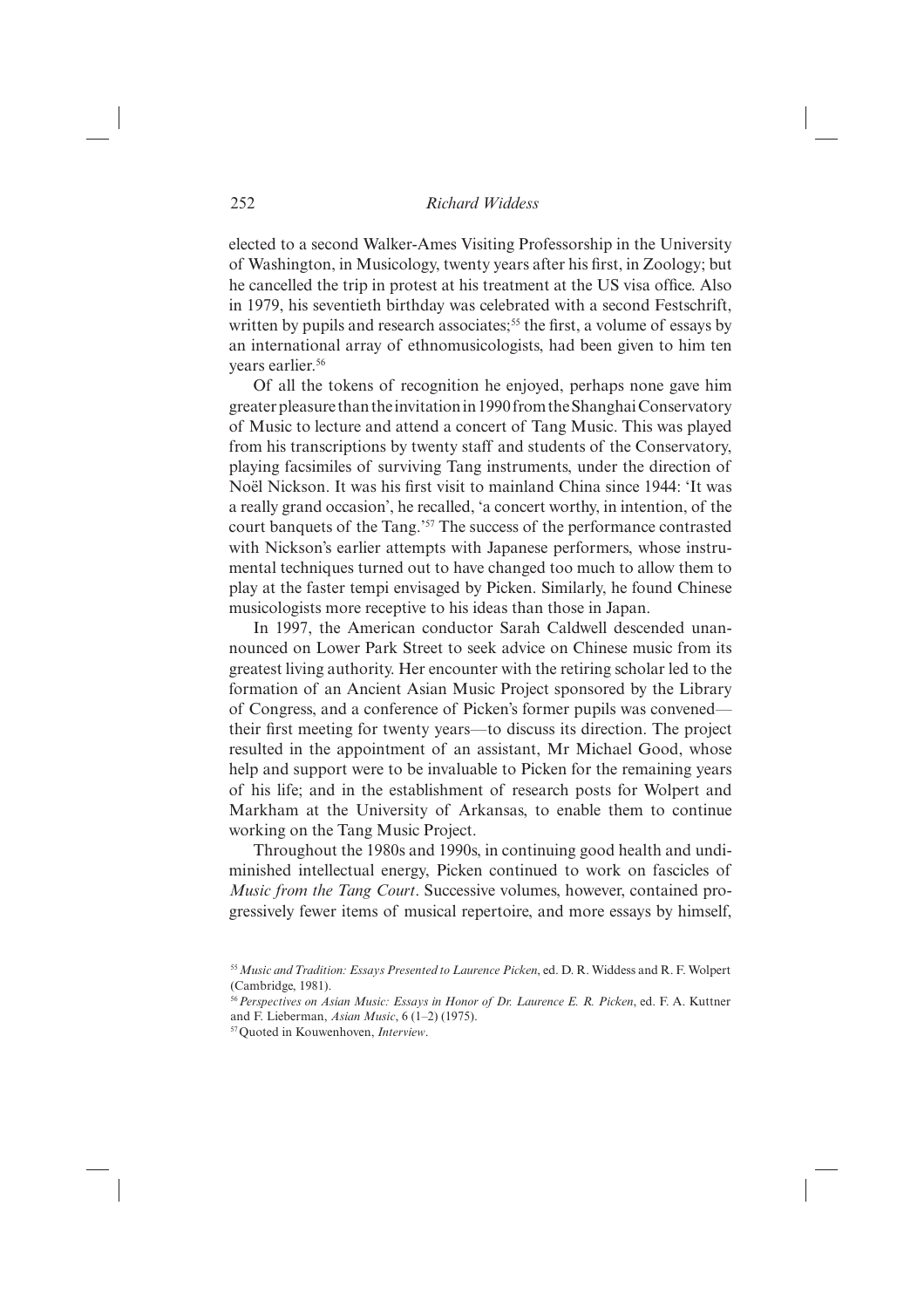elected to a second Walker-Ames Visiting Professorship in the University of Washington, in Musicology, twenty years after his first, in Zoology; but he cancelled the trip in protest at his treatment at the US visa office. Also in 1979, his seventieth birthday was celebrated with a second Festschrift, written by pupils and research associates;<sup>55</sup> the first, a volume of essays by an international array of ethnomusicologists, had been given to him ten years earlier.<sup>56</sup>

Of all the tokens of recognition he enjoyed, perhaps none gave him greater pleasure than the invitation in 1990 from the Shanghai Conservatory of Music to lecture and attend a concert of Tang Music. This was played from his transcriptions by twenty staff and students of the Conservatory, playing facsimiles of surviving Tang instruments, under the direction of Noël Nickson. It was his first visit to mainland China since 1944: 'It was a really grand occasion', he recalled, 'a concert worthy, in intention, of the court banquets of the Tang.'57 The success of the performance contrasted with Nickson's earlier attempts with Japanese performers, whose instrumental techniques turned out to have changed too much to allow them to play at the faster tempi envisaged by Picken. Similarly, he found Chinese musicologists more receptive to his ideas than those in Japan.

In 1997, the American conductor Sarah Caldwell descended unannounced on Lower Park Street to seek advice on Chinese music from its greatest living authority. Her encounter with the retiring scholar led to the formation of an Ancient Asian Music Project sponsored by the Library of Congress, and a conference of Picken's former pupils was convened their first meeting for twenty years—to discuss its direction. The project resulted in the appointment of an assistant, Mr Michael Good, whose help and support were to be invaluable to Picken for the remaining years of his life; and in the establishment of research posts for Wolpert and Markham at the University of Arkansas, to enable them to continue working on the Tang Music Project.

Throughout the 1980s and 1990s, in continuing good health and undiminished intellectual energy, Picken continued to work on fascicles of *Music from the Tang Court*. Successive volumes, however, contained progressively fewer items of musical repertoire, and more essays by himself,

<sup>55</sup>*Music and Tradition: Essays Presented to Laurence Picken*, ed. D. R. Widdess and R. F. Wolpert (Cambridge, 1981).

<sup>56</sup>*Perspectives on Asian Music: Essays in Honor of Dr. Laurence E. R. Picken*, ed. F. A. Kuttner and F. Lieberman, *Asian Music*, 6 (1–2) (1975).

<sup>57</sup> Quoted in Kouwenhoven, *Interview*.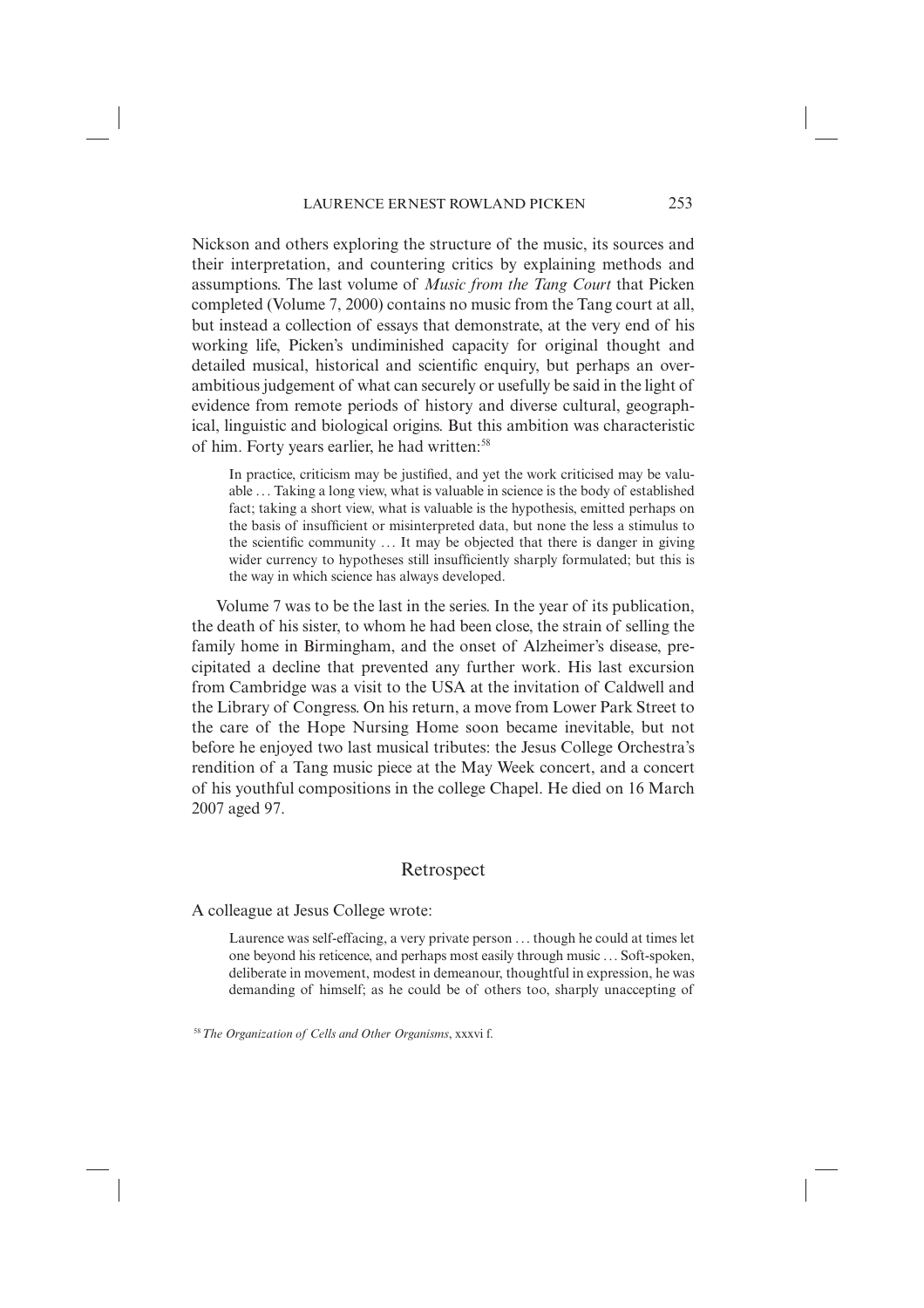Nickson and others exploring the structure of the music, its sources and their interpretation, and countering critics by explaining methods and assumptions. The last volume of *Music from the Tang Court* that Picken completed (Volume 7, 2000) contains no music from the Tang court at all, but instead a collection of essays that demonstrate, at the very end of his working life, Picken's undiminished capacity for original thought and detailed musical, historical and scientific enquiry, but perhaps an overambitious judgement of what can securely or usefully be said in the light of evidence from remote periods of history and diverse cultural, geographical, linguistic and biological origins. But this ambition was characteristic of him. Forty years earlier, he had written:58

In practice, criticism may be justified, and yet the work criticised may be valuable . . . Taking a long view, what is valuable in science is the body of established fact; taking a short view, what is valuable is the hypothesis, emitted perhaps on the basis of insufficient or misinterpreted data, but none the less a stimulus to the scientific community  $\dots$  It may be objected that there is danger in giving wider currency to hypotheses still insufficiently sharply formulated; but this is the way in which science has always developed.

Volume 7 was to be the last in the series. In the year of its publication, the death of his sister, to whom he had been close, the strain of selling the family home in Birmingham, and the onset of Alzheimer's disease, precipitated a decline that prevented any further work. His last excursion from Cambridge was a visit to the USA at the invitation of Caldwell and the Library of Congress. On his return, a move from Lower Park Street to the care of the Hope Nursing Home soon became inevitable, but not before he enjoyed two last musical tributes: the Jesus College Orchestra's rendition of a Tang music piece at the May Week concert, and a concert of his youthful compositions in the college Chapel. He died on 16 March 2007 aged 97.

# Retrospect

A colleague at Jesus College wrote:

Laurence was self-effacing, a very private person . . . though he could at times let one beyond his reticence, and perhaps most easily through music . . . Soft-spoken, deliberate in movement, modest in demeanour, thoughtful in expression, he was demanding of himself; as he could be of others too, sharply unaccepting of

58*The Organization of Cells and Other Organisms*, xxxvi f.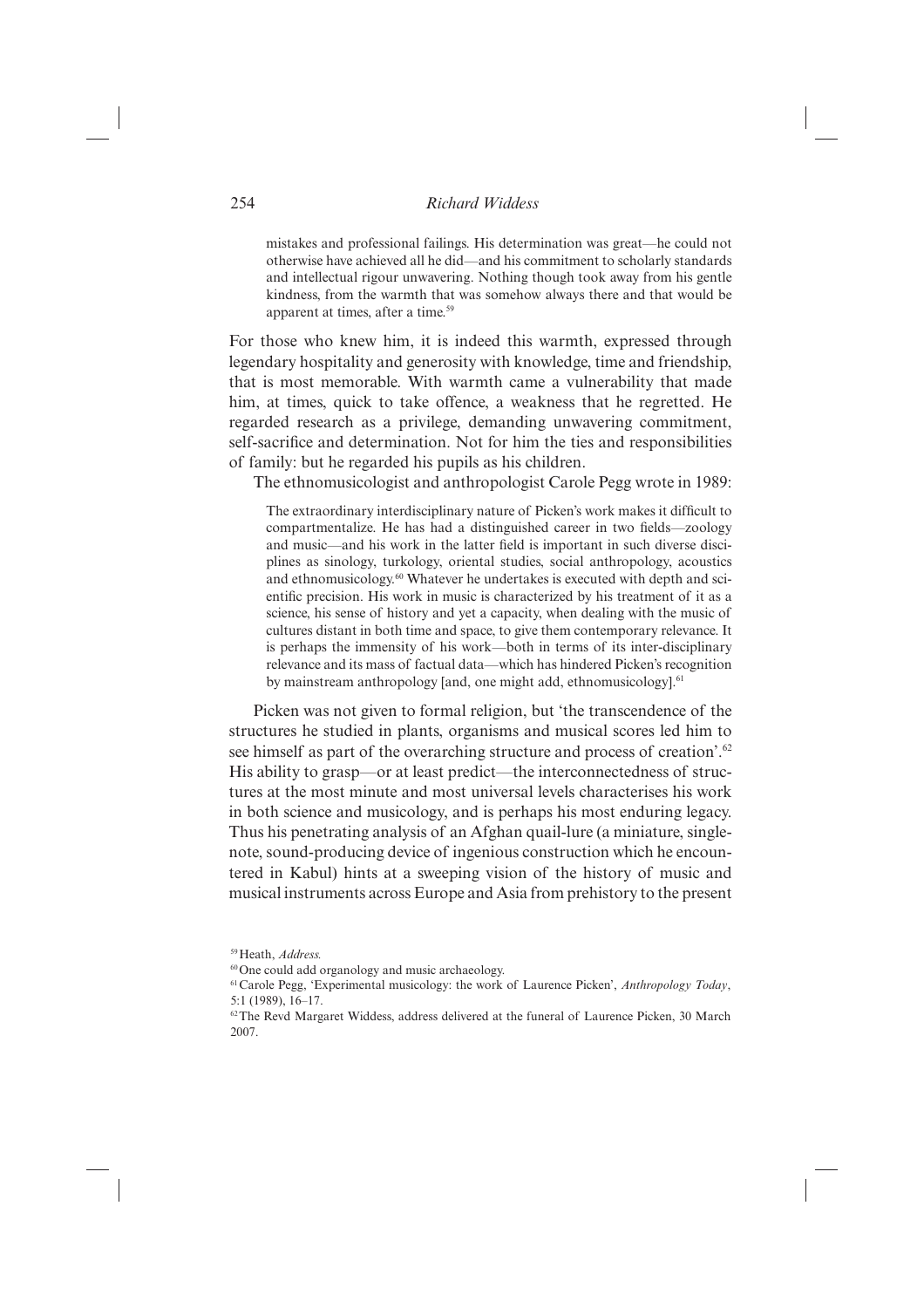mistakes and professional failings. His determination was great—he could not otherwise have achieved all he did—and his commitment to scholarly standards and intellectual rigour unwavering. Nothing though took away from his gentle kindness, from the warmth that was somehow always there and that would be apparent at times, after a time.59

For those who knew him, it is indeed this warmth, expressed through le gendary hospitality and generosity with knowledge, time and friendship, that is most memorable. With warmth came a vulnerability that made him, at times, quick to take offence, a weakness that he regretted. He regarded research as a privilege, demanding unwavering commitment, self-sacrifice and determination. Not for him the ties and responsibilities of family: but he regarded his pupils as his children.

The ethnomusicologist and anthropologist Carole Pegg wrote in 1989:

The extraordinary interdisciplinary nature of Picken's work makes it difficult to compartmentalize. He has had a distinguished career in two fields—zoology and music—and his work in the latter field is important in such diverse disciplines as sinology, turkology, oriental studies, social anthropology, acoustics and ethnomusicology.60 Whatever he undertakes is executed with depth and scientific precision. His work in music is characterized by his treatment of it as a science, his sense of history and yet a capacity, when dealing with the music of cultures distant in both time and space, to give them contemporary relevance. It is perhaps the immensity of his work—both in terms of its inter-disciplinary relevance and its mass of factual data—which has hindered Picken's recognition by mainstream anthropology [and, one might add, ethnomusicology].<sup>61</sup>

Picken was not given to formal religion, but 'the transcendence of the structures he studied in plants, organisms and musical scores led him to see himself as part of the overarching structure and process of creation'.<sup>62</sup> His ability to grasp—or at least predict—the interconnectedness of structures at the most minute and most universal levels characterises his work in both science and musicology, and is perhaps his most enduring legacy. Thus his penetrating analysis of an Afghan quail-lure (a miniature, singlenote, sound-producing device of ingenious construction which he encountered in Kabul) hints at a sweeping vision of the history of music and musical instruments across Europe and Asia from prehistory to the present

60 One could add organology and music archaeology.

<sup>59</sup> Heath, *Address.*

<sup>61</sup> Carole Pegg, 'Experimental musicology: the work of Laurence Picken', *Anthropology Today*, 5:1 (1989), 16–17.

<sup>&</sup>lt;sup>62</sup> The Revd Margaret Widdess, address delivered at the funeral of Laurence Picken, 30 March 2007.